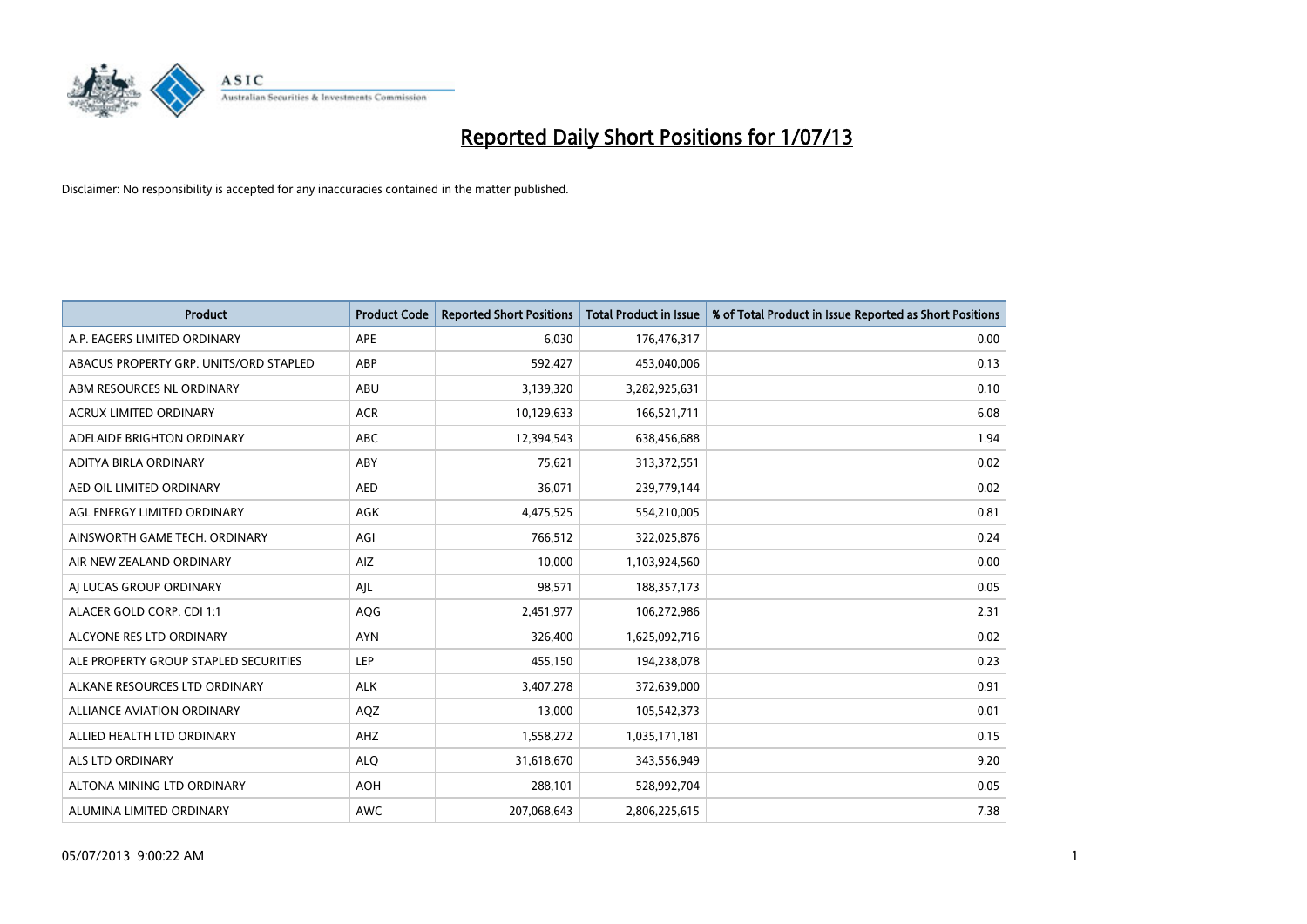

| <b>Product</b>                         | <b>Product Code</b> | <b>Reported Short Positions</b> | <b>Total Product in Issue</b> | % of Total Product in Issue Reported as Short Positions |
|----------------------------------------|---------------------|---------------------------------|-------------------------------|---------------------------------------------------------|
| A.P. EAGERS LIMITED ORDINARY           | APE                 | 6,030                           | 176,476,317                   | 0.00                                                    |
| ABACUS PROPERTY GRP. UNITS/ORD STAPLED | ABP                 | 592,427                         | 453,040,006                   | 0.13                                                    |
| ABM RESOURCES NL ORDINARY              | ABU                 | 3,139,320                       | 3,282,925,631                 | 0.10                                                    |
| ACRUX LIMITED ORDINARY                 | <b>ACR</b>          | 10,129,633                      | 166,521,711                   | 6.08                                                    |
| ADELAIDE BRIGHTON ORDINARY             | <b>ABC</b>          | 12,394,543                      | 638,456,688                   | 1.94                                                    |
| ADITYA BIRLA ORDINARY                  | ABY                 | 75,621                          | 313,372,551                   | 0.02                                                    |
| AED OIL LIMITED ORDINARY               | <b>AED</b>          | 36,071                          | 239,779,144                   | 0.02                                                    |
| AGL ENERGY LIMITED ORDINARY            | AGK                 | 4,475,525                       | 554,210,005                   | 0.81                                                    |
| AINSWORTH GAME TECH. ORDINARY          | AGI                 | 766,512                         | 322,025,876                   | 0.24                                                    |
| AIR NEW ZEALAND ORDINARY               | <b>AIZ</b>          | 10,000                          | 1,103,924,560                 | 0.00                                                    |
| AJ LUCAS GROUP ORDINARY                | AJL                 | 98,571                          | 188,357,173                   | 0.05                                                    |
| ALACER GOLD CORP. CDI 1:1              | AQG                 | 2,451,977                       | 106,272,986                   | 2.31                                                    |
| ALCYONE RES LTD ORDINARY               | <b>AYN</b>          | 326,400                         | 1,625,092,716                 | 0.02                                                    |
| ALE PROPERTY GROUP STAPLED SECURITIES  | LEP                 | 455,150                         | 194,238,078                   | 0.23                                                    |
| ALKANE RESOURCES LTD ORDINARY          | <b>ALK</b>          | 3,407,278                       | 372,639,000                   | 0.91                                                    |
| ALLIANCE AVIATION ORDINARY             | AQZ                 | 13,000                          | 105,542,373                   | 0.01                                                    |
| ALLIED HEALTH LTD ORDINARY             | AHZ                 | 1,558,272                       | 1,035,171,181                 | 0.15                                                    |
| ALS LTD ORDINARY                       | <b>ALQ</b>          | 31,618,670                      | 343,556,949                   | 9.20                                                    |
| ALTONA MINING LTD ORDINARY             | <b>AOH</b>          | 288,101                         | 528,992,704                   | 0.05                                                    |
| ALUMINA LIMITED ORDINARY               | <b>AWC</b>          | 207,068,643                     | 2,806,225,615                 | 7.38                                                    |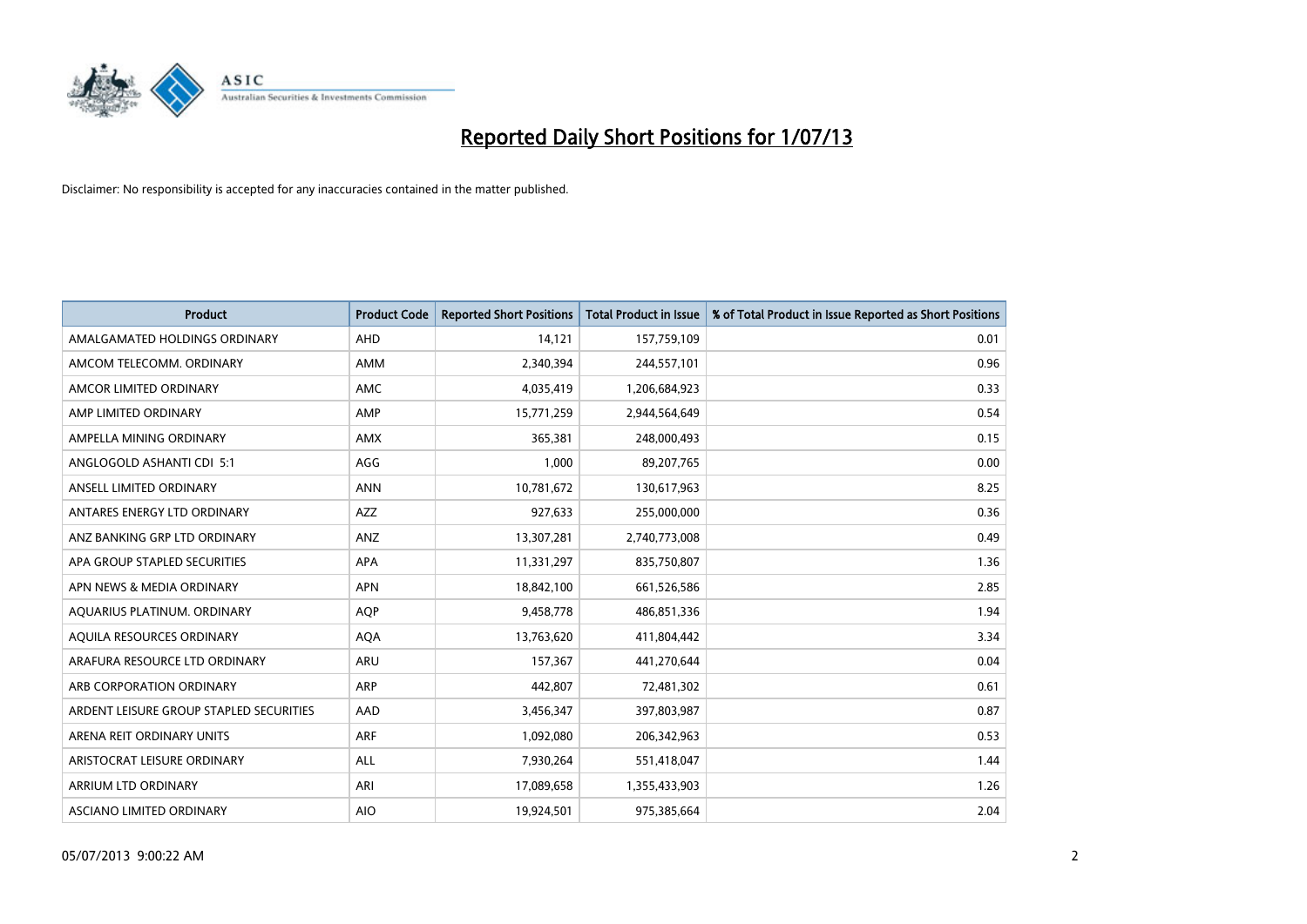

| <b>Product</b>                          | <b>Product Code</b> | <b>Reported Short Positions</b> | <b>Total Product in Issue</b> | % of Total Product in Issue Reported as Short Positions |
|-----------------------------------------|---------------------|---------------------------------|-------------------------------|---------------------------------------------------------|
| AMALGAMATED HOLDINGS ORDINARY           | AHD                 | 14,121                          | 157,759,109                   | 0.01                                                    |
| AMCOM TELECOMM, ORDINARY                | AMM                 | 2,340,394                       | 244,557,101                   | 0.96                                                    |
| AMCOR LIMITED ORDINARY                  | <b>AMC</b>          | 4,035,419                       | 1,206,684,923                 | 0.33                                                    |
| AMP LIMITED ORDINARY                    | AMP                 | 15,771,259                      | 2,944,564,649                 | 0.54                                                    |
| AMPELLA MINING ORDINARY                 | <b>AMX</b>          | 365,381                         | 248,000,493                   | 0.15                                                    |
| ANGLOGOLD ASHANTI CDI 5:1               | AGG                 | 1,000                           | 89,207,765                    | 0.00                                                    |
| ANSELL LIMITED ORDINARY                 | <b>ANN</b>          | 10,781,672                      | 130,617,963                   | 8.25                                                    |
| ANTARES ENERGY LTD ORDINARY             | <b>AZZ</b>          | 927,633                         | 255,000,000                   | 0.36                                                    |
| ANZ BANKING GRP LTD ORDINARY            | ANZ                 | 13,307,281                      | 2,740,773,008                 | 0.49                                                    |
| APA GROUP STAPLED SECURITIES            | <b>APA</b>          | 11,331,297                      | 835,750,807                   | 1.36                                                    |
| APN NEWS & MEDIA ORDINARY               | <b>APN</b>          | 18,842,100                      | 661,526,586                   | 2.85                                                    |
| AQUARIUS PLATINUM. ORDINARY             | <b>AQP</b>          | 9,458,778                       | 486,851,336                   | 1.94                                                    |
| AQUILA RESOURCES ORDINARY               | <b>AQA</b>          | 13,763,620                      | 411,804,442                   | 3.34                                                    |
| ARAFURA RESOURCE LTD ORDINARY           | <b>ARU</b>          | 157,367                         | 441,270,644                   | 0.04                                                    |
| ARB CORPORATION ORDINARY                | ARP                 | 442,807                         | 72,481,302                    | 0.61                                                    |
| ARDENT LEISURE GROUP STAPLED SECURITIES | AAD                 | 3,456,347                       | 397,803,987                   | 0.87                                                    |
| ARENA REIT ORDINARY UNITS               | <b>ARF</b>          | 1,092,080                       | 206,342,963                   | 0.53                                                    |
| ARISTOCRAT LEISURE ORDINARY             | ALL                 | 7,930,264                       | 551,418,047                   | 1.44                                                    |
| ARRIUM LTD ORDINARY                     | ARI                 | 17,089,658                      | 1,355,433,903                 | 1.26                                                    |
| ASCIANO LIMITED ORDINARY                | <b>AIO</b>          | 19,924,501                      | 975,385,664                   | 2.04                                                    |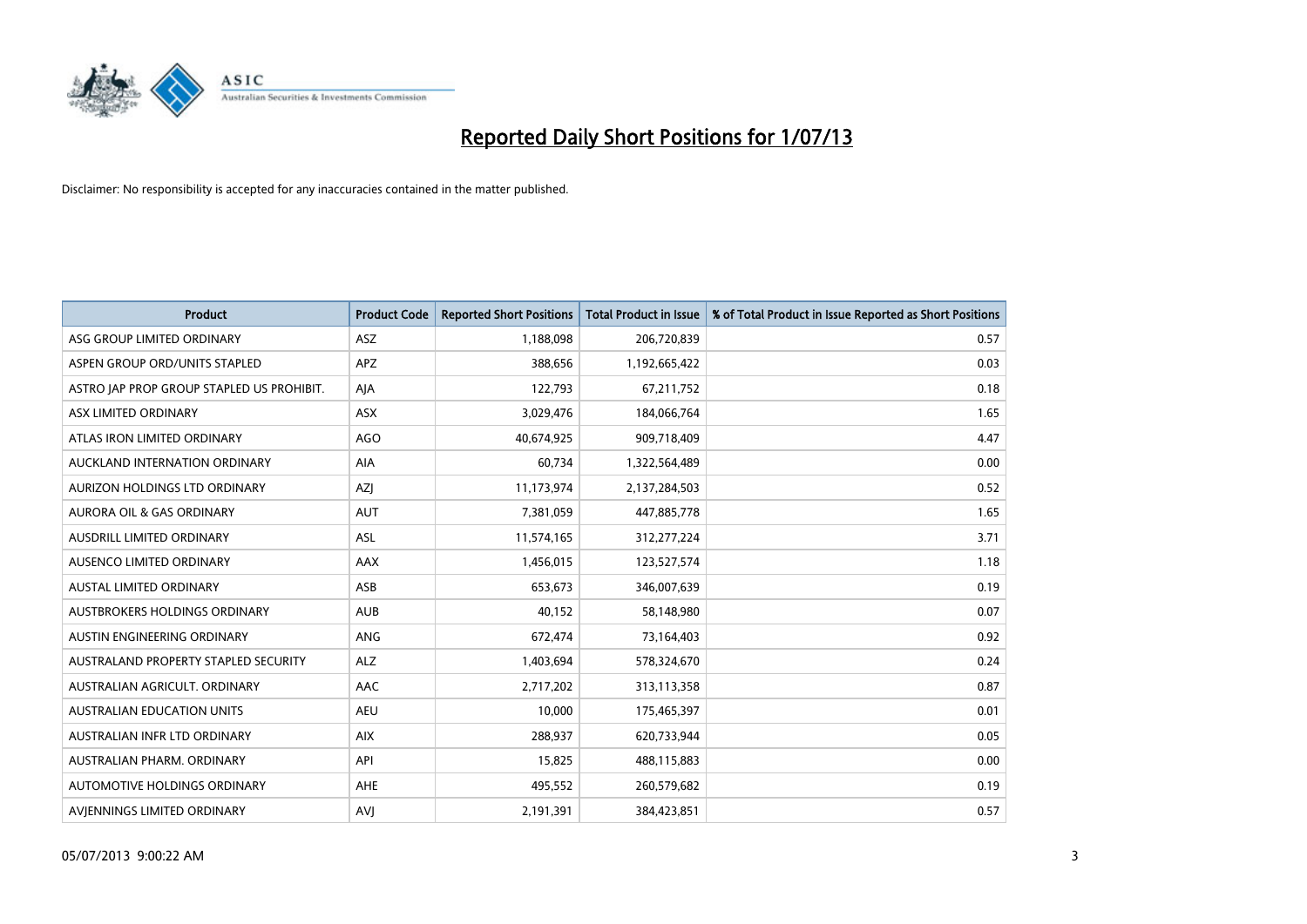

| <b>Product</b>                            | <b>Product Code</b> | <b>Reported Short Positions</b> | <b>Total Product in Issue</b> | % of Total Product in Issue Reported as Short Positions |
|-------------------------------------------|---------------------|---------------------------------|-------------------------------|---------------------------------------------------------|
| ASG GROUP LIMITED ORDINARY                | <b>ASZ</b>          | 1,188,098                       | 206,720,839                   | 0.57                                                    |
| ASPEN GROUP ORD/UNITS STAPLED             | <b>APZ</b>          | 388,656                         | 1,192,665,422                 | 0.03                                                    |
| ASTRO JAP PROP GROUP STAPLED US PROHIBIT. | AJA                 | 122,793                         | 67,211,752                    | 0.18                                                    |
| ASX LIMITED ORDINARY                      | ASX                 | 3,029,476                       | 184,066,764                   | 1.65                                                    |
| ATLAS IRON LIMITED ORDINARY               | <b>AGO</b>          | 40,674,925                      | 909,718,409                   | 4.47                                                    |
| AUCKLAND INTERNATION ORDINARY             | <b>AIA</b>          | 60,734                          | 1,322,564,489                 | 0.00                                                    |
| AURIZON HOLDINGS LTD ORDINARY             | AZJ                 | 11,173,974                      | 2,137,284,503                 | 0.52                                                    |
| AURORA OIL & GAS ORDINARY                 | AUT                 | 7,381,059                       | 447,885,778                   | 1.65                                                    |
| AUSDRILL LIMITED ORDINARY                 | ASL                 | 11,574,165                      | 312,277,224                   | 3.71                                                    |
| AUSENCO LIMITED ORDINARY                  | <b>AAX</b>          | 1,456,015                       | 123,527,574                   | 1.18                                                    |
| AUSTAL LIMITED ORDINARY                   | ASB                 | 653,673                         | 346,007,639                   | 0.19                                                    |
| <b>AUSTBROKERS HOLDINGS ORDINARY</b>      | <b>AUB</b>          | 40,152                          | 58,148,980                    | 0.07                                                    |
| AUSTIN ENGINEERING ORDINARY               | ANG                 | 672,474                         | 73,164,403                    | 0.92                                                    |
| AUSTRALAND PROPERTY STAPLED SECURITY      | <b>ALZ</b>          | 1,403,694                       | 578,324,670                   | 0.24                                                    |
| AUSTRALIAN AGRICULT, ORDINARY             | <b>AAC</b>          | 2,717,202                       | 313,113,358                   | 0.87                                                    |
| AUSTRALIAN EDUCATION UNITS                | <b>AEU</b>          | 10,000                          | 175,465,397                   | 0.01                                                    |
| AUSTRALIAN INFR LTD ORDINARY              | <b>AIX</b>          | 288,937                         | 620,733,944                   | 0.05                                                    |
| AUSTRALIAN PHARM. ORDINARY                | API                 | 15,825                          | 488,115,883                   | 0.00                                                    |
| AUTOMOTIVE HOLDINGS ORDINARY              | <b>AHE</b>          | 495,552                         | 260,579,682                   | 0.19                                                    |
| AVIENNINGS LIMITED ORDINARY               | <b>AVJ</b>          | 2,191,391                       | 384,423,851                   | 0.57                                                    |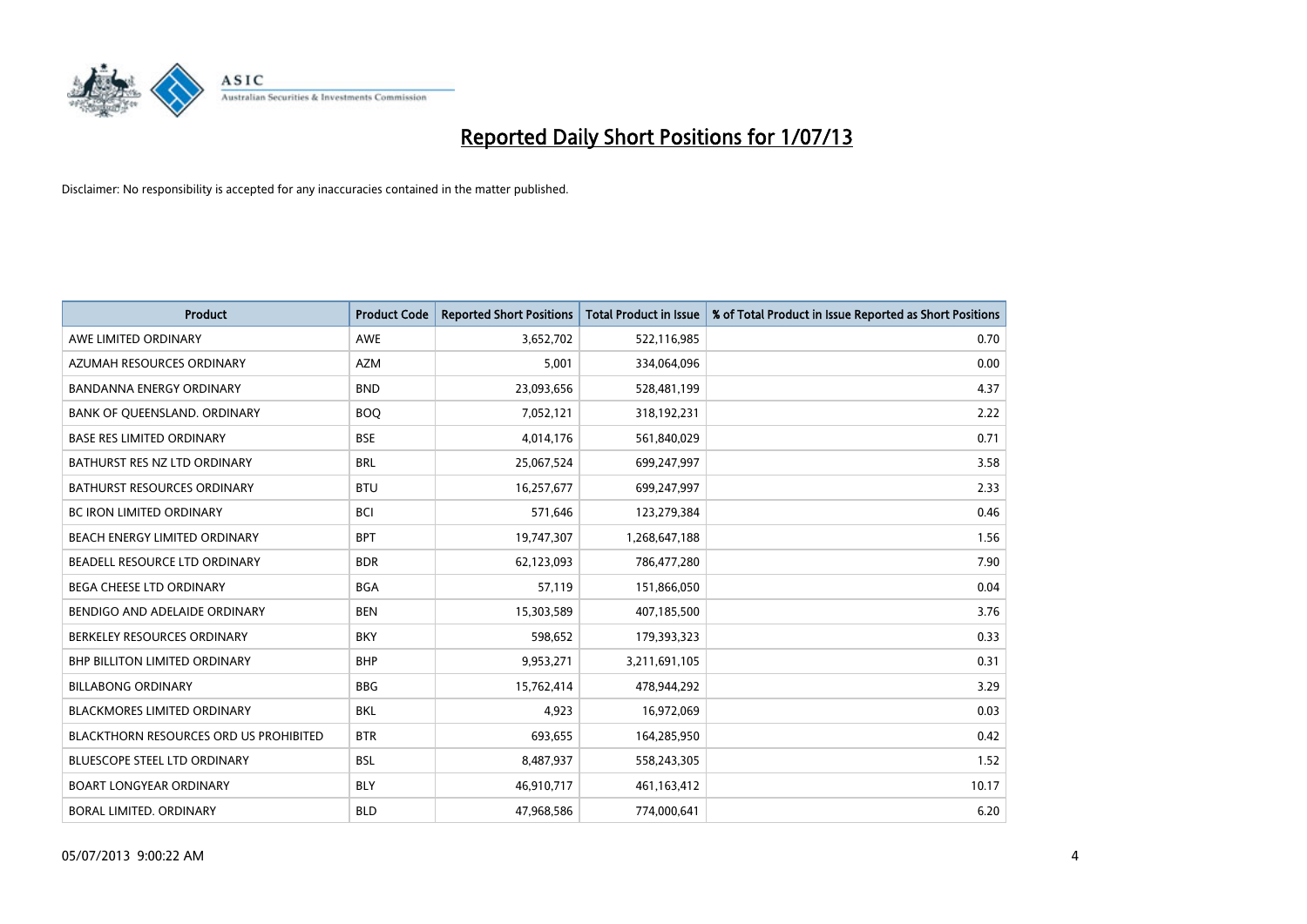

| <b>Product</b>                         | <b>Product Code</b> | <b>Reported Short Positions</b> | <b>Total Product in Issue</b> | % of Total Product in Issue Reported as Short Positions |
|----------------------------------------|---------------------|---------------------------------|-------------------------------|---------------------------------------------------------|
| AWE LIMITED ORDINARY                   | <b>AWE</b>          | 3,652,702                       | 522,116,985                   | 0.70                                                    |
| AZUMAH RESOURCES ORDINARY              | <b>AZM</b>          | 5,001                           | 334,064,096                   | 0.00                                                    |
| <b>BANDANNA ENERGY ORDINARY</b>        | <b>BND</b>          | 23,093,656                      | 528,481,199                   | 4.37                                                    |
| BANK OF QUEENSLAND. ORDINARY           | <b>BOQ</b>          | 7,052,121                       | 318,192,231                   | 2.22                                                    |
| <b>BASE RES LIMITED ORDINARY</b>       | <b>BSE</b>          | 4,014,176                       | 561,840,029                   | 0.71                                                    |
| BATHURST RES NZ LTD ORDINARY           | <b>BRL</b>          | 25,067,524                      | 699,247,997                   | 3.58                                                    |
| BATHURST RESOURCES ORDINARY            | <b>BTU</b>          | 16,257,677                      | 699,247,997                   | 2.33                                                    |
| BC IRON LIMITED ORDINARY               | <b>BCI</b>          | 571,646                         | 123,279,384                   | 0.46                                                    |
| BEACH ENERGY LIMITED ORDINARY          | <b>BPT</b>          | 19,747,307                      | 1,268,647,188                 | 1.56                                                    |
| BEADELL RESOURCE LTD ORDINARY          | <b>BDR</b>          | 62,123,093                      | 786,477,280                   | 7.90                                                    |
| BEGA CHEESE LTD ORDINARY               | <b>BGA</b>          | 57,119                          | 151,866,050                   | 0.04                                                    |
| BENDIGO AND ADELAIDE ORDINARY          | <b>BEN</b>          | 15,303,589                      | 407,185,500                   | 3.76                                                    |
| BERKELEY RESOURCES ORDINARY            | <b>BKY</b>          | 598,652                         | 179,393,323                   | 0.33                                                    |
| <b>BHP BILLITON LIMITED ORDINARY</b>   | <b>BHP</b>          | 9,953,271                       | 3,211,691,105                 | 0.31                                                    |
| <b>BILLABONG ORDINARY</b>              | <b>BBG</b>          | 15,762,414                      | 478,944,292                   | 3.29                                                    |
| BLACKMORES LIMITED ORDINARY            | <b>BKL</b>          | 4,923                           | 16,972,069                    | 0.03                                                    |
| BLACKTHORN RESOURCES ORD US PROHIBITED | <b>BTR</b>          | 693,655                         | 164,285,950                   | 0.42                                                    |
| BLUESCOPE STEEL LTD ORDINARY           | <b>BSL</b>          | 8,487,937                       | 558,243,305                   | 1.52                                                    |
| <b>BOART LONGYEAR ORDINARY</b>         | <b>BLY</b>          | 46,910,717                      | 461,163,412                   | 10.17                                                   |
| BORAL LIMITED. ORDINARY                | <b>BLD</b>          | 47,968,586                      | 774,000,641                   | 6.20                                                    |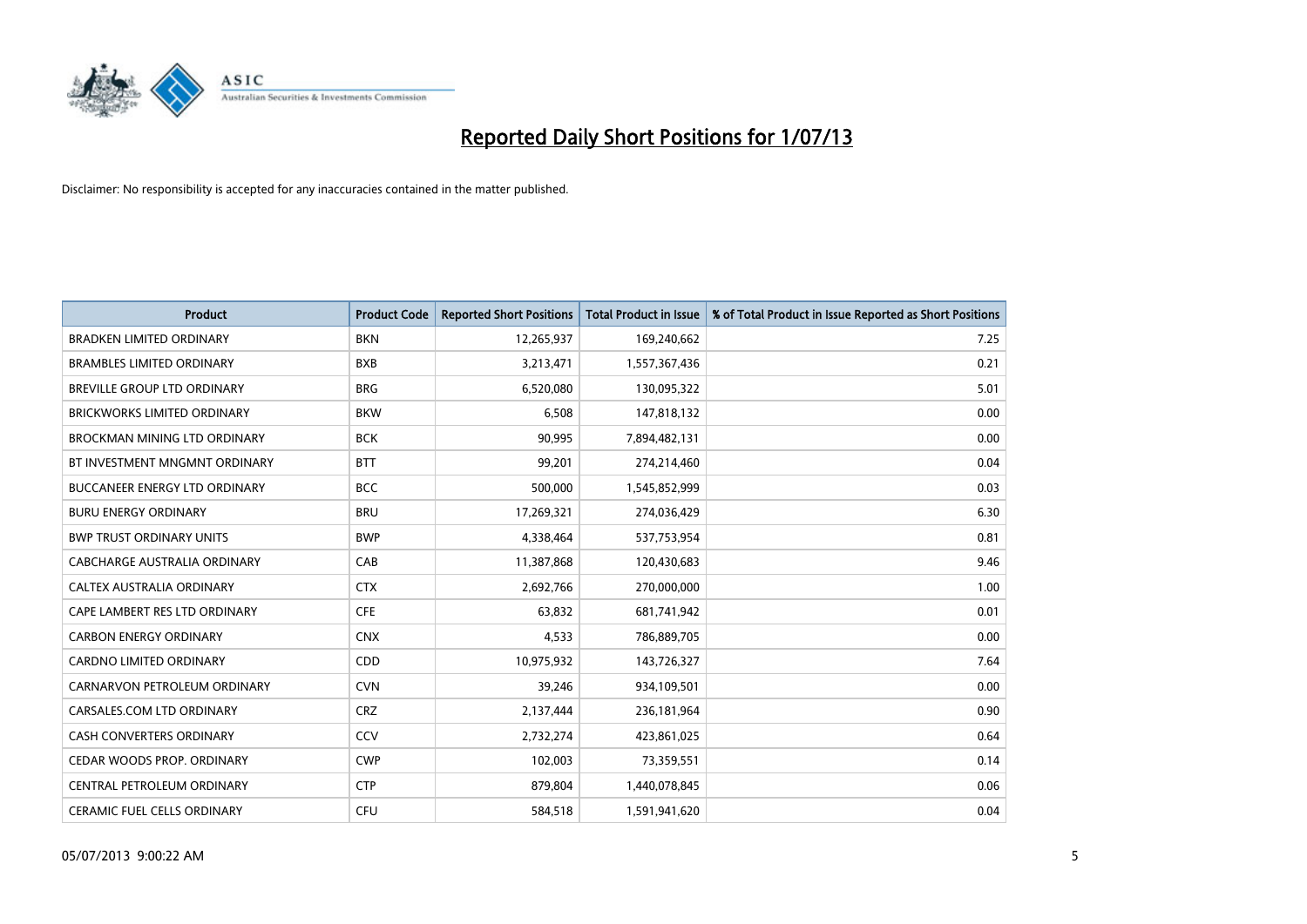

| <b>Product</b>                       | <b>Product Code</b> | <b>Reported Short Positions</b> | <b>Total Product in Issue</b> | % of Total Product in Issue Reported as Short Positions |
|--------------------------------------|---------------------|---------------------------------|-------------------------------|---------------------------------------------------------|
| <b>BRADKEN LIMITED ORDINARY</b>      | <b>BKN</b>          | 12,265,937                      | 169,240,662                   | 7.25                                                    |
| <b>BRAMBLES LIMITED ORDINARY</b>     | <b>BXB</b>          | 3,213,471                       | 1,557,367,436                 | 0.21                                                    |
| BREVILLE GROUP LTD ORDINARY          | <b>BRG</b>          | 6,520,080                       | 130,095,322                   | 5.01                                                    |
| <b>BRICKWORKS LIMITED ORDINARY</b>   | <b>BKW</b>          | 6,508                           | 147,818,132                   | 0.00                                                    |
| BROCKMAN MINING LTD ORDINARY         | <b>BCK</b>          | 90,995                          | 7,894,482,131                 | 0.00                                                    |
| BT INVESTMENT MNGMNT ORDINARY        | <b>BTT</b>          | 99,201                          | 274,214,460                   | 0.04                                                    |
| <b>BUCCANEER ENERGY LTD ORDINARY</b> | <b>BCC</b>          | 500,000                         | 1,545,852,999                 | 0.03                                                    |
| <b>BURU ENERGY ORDINARY</b>          | <b>BRU</b>          | 17,269,321                      | 274,036,429                   | 6.30                                                    |
| <b>BWP TRUST ORDINARY UNITS</b>      | <b>BWP</b>          | 4,338,464                       | 537,753,954                   | 0.81                                                    |
| CABCHARGE AUSTRALIA ORDINARY         | CAB                 | 11,387,868                      | 120,430,683                   | 9.46                                                    |
| CALTEX AUSTRALIA ORDINARY            | <b>CTX</b>          | 2,692,766                       | 270,000,000                   | 1.00                                                    |
| CAPE LAMBERT RES LTD ORDINARY        | <b>CFE</b>          | 63,832                          | 681,741,942                   | 0.01                                                    |
| <b>CARBON ENERGY ORDINARY</b>        | <b>CNX</b>          | 4,533                           | 786,889,705                   | 0.00                                                    |
| <b>CARDNO LIMITED ORDINARY</b>       | CDD                 | 10,975,932                      | 143,726,327                   | 7.64                                                    |
| CARNARVON PETROLEUM ORDINARY         | <b>CVN</b>          | 39,246                          | 934,109,501                   | 0.00                                                    |
| CARSALES.COM LTD ORDINARY            | <b>CRZ</b>          | 2,137,444                       | 236,181,964                   | 0.90                                                    |
| <b>CASH CONVERTERS ORDINARY</b>      | CCV                 | 2,732,274                       | 423,861,025                   | 0.64                                                    |
| CEDAR WOODS PROP. ORDINARY           | <b>CWP</b>          | 102,003                         | 73,359,551                    | 0.14                                                    |
| CENTRAL PETROLEUM ORDINARY           | <b>CTP</b>          | 879,804                         | 1,440,078,845                 | 0.06                                                    |
| <b>CERAMIC FUEL CELLS ORDINARY</b>   | <b>CFU</b>          | 584,518                         | 1,591,941,620                 | 0.04                                                    |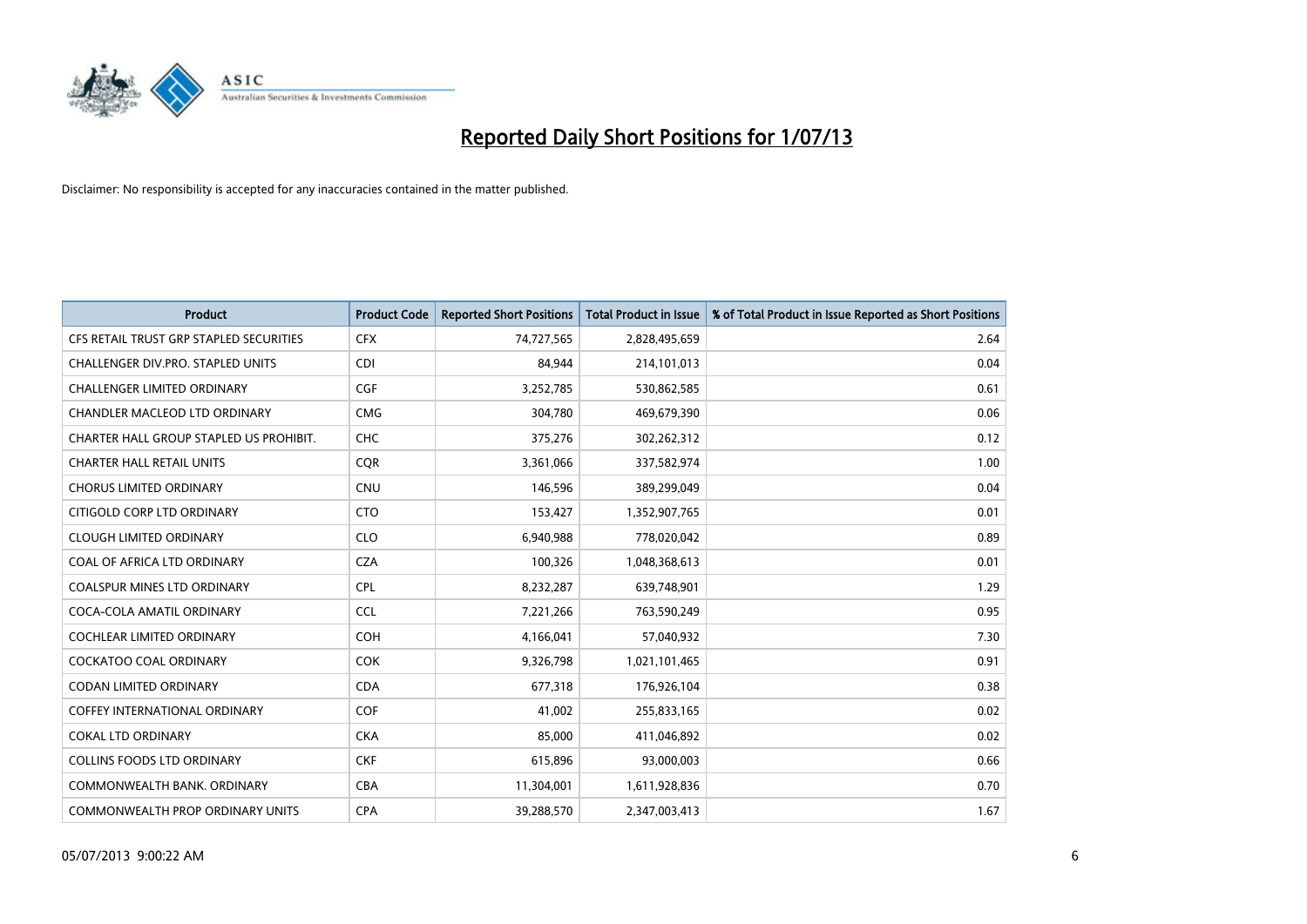

| <b>Product</b>                          | <b>Product Code</b> | <b>Reported Short Positions</b> | <b>Total Product in Issue</b> | % of Total Product in Issue Reported as Short Positions |
|-----------------------------------------|---------------------|---------------------------------|-------------------------------|---------------------------------------------------------|
| CFS RETAIL TRUST GRP STAPLED SECURITIES | <b>CFX</b>          | 74,727,565                      | 2,828,495,659                 | 2.64                                                    |
| CHALLENGER DIV.PRO. STAPLED UNITS       | <b>CDI</b>          | 84,944                          | 214,101,013                   | 0.04                                                    |
| <b>CHALLENGER LIMITED ORDINARY</b>      | <b>CGF</b>          | 3,252,785                       | 530,862,585                   | 0.61                                                    |
| CHANDLER MACLEOD LTD ORDINARY           | <b>CMG</b>          | 304,780                         | 469,679,390                   | 0.06                                                    |
| CHARTER HALL GROUP STAPLED US PROHIBIT. | <b>CHC</b>          | 375,276                         | 302,262,312                   | 0.12                                                    |
| <b>CHARTER HALL RETAIL UNITS</b>        | CQR                 | 3,361,066                       | 337,582,974                   | 1.00                                                    |
| <b>CHORUS LIMITED ORDINARY</b>          | CNU                 | 146,596                         | 389,299,049                   | 0.04                                                    |
| CITIGOLD CORP LTD ORDINARY              | <b>CTO</b>          | 153,427                         | 1,352,907,765                 | 0.01                                                    |
| <b>CLOUGH LIMITED ORDINARY</b>          | <b>CLO</b>          | 6,940,988                       | 778,020,042                   | 0.89                                                    |
| COAL OF AFRICA LTD ORDINARY             | <b>CZA</b>          | 100,326                         | 1,048,368,613                 | 0.01                                                    |
| <b>COALSPUR MINES LTD ORDINARY</b>      | <b>CPL</b>          | 8,232,287                       | 639,748,901                   | 1.29                                                    |
| COCA-COLA AMATIL ORDINARY               | <b>CCL</b>          | 7,221,266                       | 763,590,249                   | 0.95                                                    |
| COCHLEAR LIMITED ORDINARY               | <b>COH</b>          | 4,166,041                       | 57,040,932                    | 7.30                                                    |
| <b>COCKATOO COAL ORDINARY</b>           | <b>COK</b>          | 9,326,798                       | 1,021,101,465                 | 0.91                                                    |
| <b>CODAN LIMITED ORDINARY</b>           | <b>CDA</b>          | 677,318                         | 176,926,104                   | 0.38                                                    |
| <b>COFFEY INTERNATIONAL ORDINARY</b>    | <b>COF</b>          | 41,002                          | 255,833,165                   | 0.02                                                    |
| <b>COKAL LTD ORDINARY</b>               | <b>CKA</b>          | 85,000                          | 411,046,892                   | 0.02                                                    |
| <b>COLLINS FOODS LTD ORDINARY</b>       | <b>CKF</b>          | 615,896                         | 93,000,003                    | 0.66                                                    |
| COMMONWEALTH BANK, ORDINARY             | <b>CBA</b>          | 11,304,001                      | 1,611,928,836                 | 0.70                                                    |
| COMMONWEALTH PROP ORDINARY UNITS        | <b>CPA</b>          | 39,288,570                      | 2,347,003,413                 | 1.67                                                    |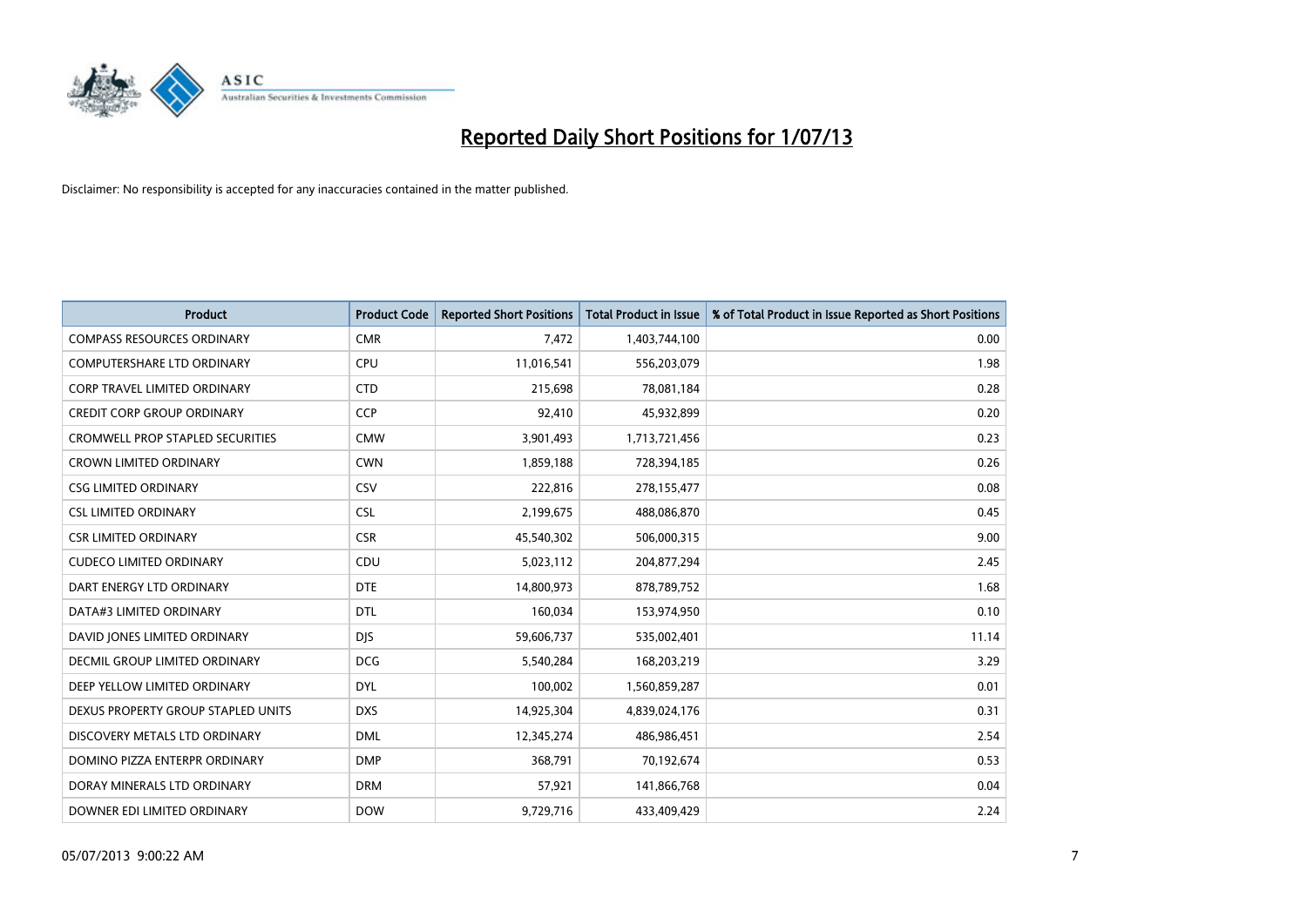

| <b>Product</b>                          | <b>Product Code</b> | <b>Reported Short Positions</b> | <b>Total Product in Issue</b> | % of Total Product in Issue Reported as Short Positions |
|-----------------------------------------|---------------------|---------------------------------|-------------------------------|---------------------------------------------------------|
| <b>COMPASS RESOURCES ORDINARY</b>       | <b>CMR</b>          | 7,472                           | 1,403,744,100                 | 0.00                                                    |
| COMPUTERSHARE LTD ORDINARY              | <b>CPU</b>          | 11,016,541                      | 556,203,079                   | 1.98                                                    |
| CORP TRAVEL LIMITED ORDINARY            | <b>CTD</b>          | 215,698                         | 78,081,184                    | 0.28                                                    |
| <b>CREDIT CORP GROUP ORDINARY</b>       | <b>CCP</b>          | 92,410                          | 45,932,899                    | 0.20                                                    |
| <b>CROMWELL PROP STAPLED SECURITIES</b> | <b>CMW</b>          | 3,901,493                       | 1,713,721,456                 | 0.23                                                    |
| <b>CROWN LIMITED ORDINARY</b>           | <b>CWN</b>          | 1,859,188                       | 728,394,185                   | 0.26                                                    |
| <b>CSG LIMITED ORDINARY</b>             | <b>CSV</b>          | 222,816                         | 278,155,477                   | 0.08                                                    |
| <b>CSL LIMITED ORDINARY</b>             | <b>CSL</b>          | 2,199,675                       | 488,086,870                   | 0.45                                                    |
| <b>CSR LIMITED ORDINARY</b>             | <b>CSR</b>          | 45,540,302                      | 506,000,315                   | 9.00                                                    |
| <b>CUDECO LIMITED ORDINARY</b>          | CDU                 | 5,023,112                       | 204,877,294                   | 2.45                                                    |
| DART ENERGY LTD ORDINARY                | <b>DTE</b>          | 14,800,973                      | 878,789,752                   | 1.68                                                    |
| DATA#3 LIMITED ORDINARY                 | DTL                 | 160,034                         | 153,974,950                   | 0.10                                                    |
| DAVID JONES LIMITED ORDINARY            | <b>DJS</b>          | 59,606,737                      | 535,002,401                   | 11.14                                                   |
| <b>DECMIL GROUP LIMITED ORDINARY</b>    | <b>DCG</b>          | 5,540,284                       | 168,203,219                   | 3.29                                                    |
| DEEP YELLOW LIMITED ORDINARY            | <b>DYL</b>          | 100,002                         | 1,560,859,287                 | 0.01                                                    |
| DEXUS PROPERTY GROUP STAPLED UNITS      | <b>DXS</b>          | 14,925,304                      | 4,839,024,176                 | 0.31                                                    |
| DISCOVERY METALS LTD ORDINARY           | <b>DML</b>          | 12,345,274                      | 486,986,451                   | 2.54                                                    |
| DOMINO PIZZA ENTERPR ORDINARY           | <b>DMP</b>          | 368,791                         | 70,192,674                    | 0.53                                                    |
| DORAY MINERALS LTD ORDINARY             | <b>DRM</b>          | 57,921                          | 141,866,768                   | 0.04                                                    |
| DOWNER EDI LIMITED ORDINARY             | <b>DOW</b>          | 9,729,716                       | 433,409,429                   | 2.24                                                    |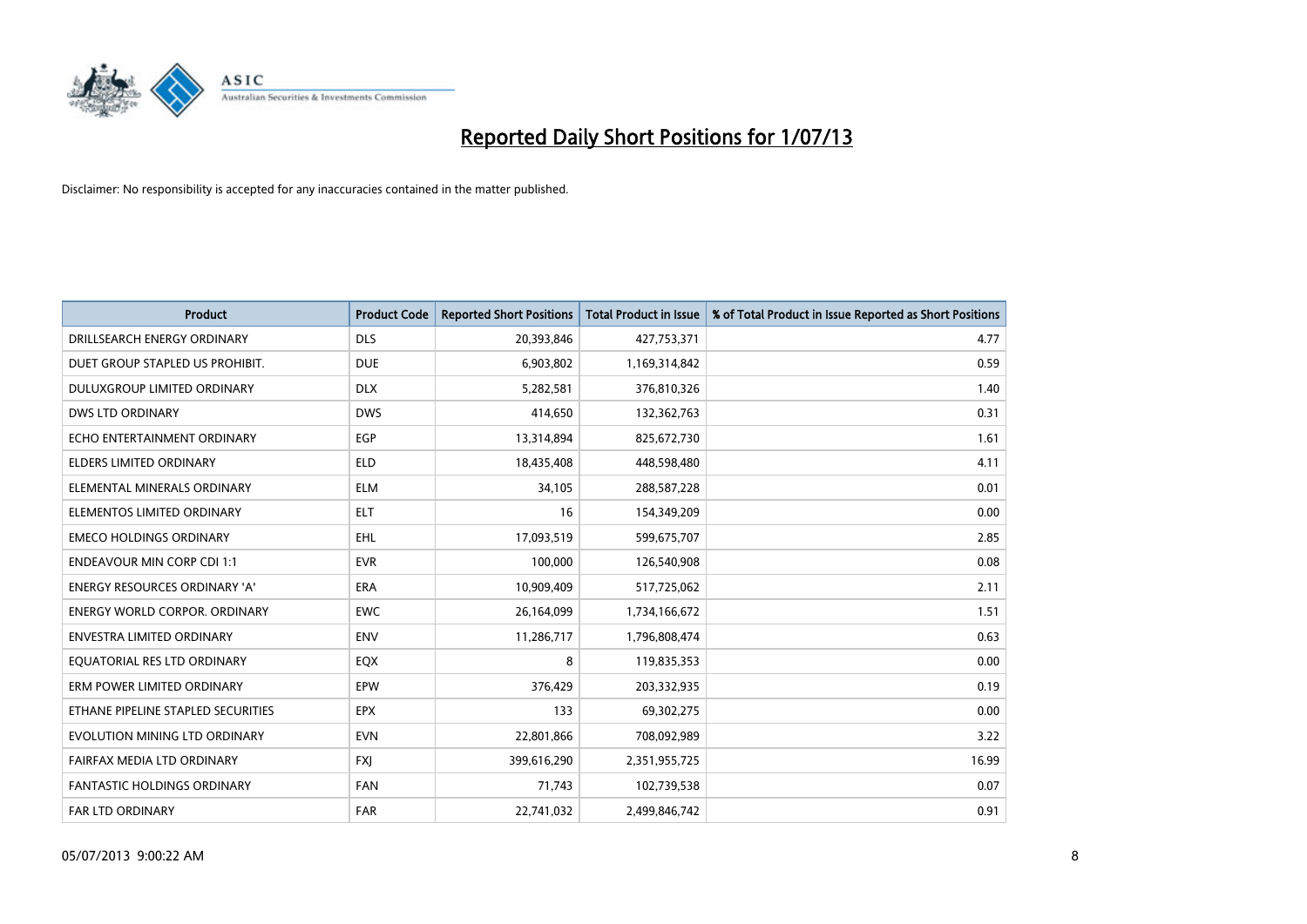

| <b>Product</b>                     | <b>Product Code</b> | <b>Reported Short Positions</b> | <b>Total Product in Issue</b> | % of Total Product in Issue Reported as Short Positions |
|------------------------------------|---------------------|---------------------------------|-------------------------------|---------------------------------------------------------|
| DRILLSEARCH ENERGY ORDINARY        | <b>DLS</b>          | 20,393,846                      | 427,753,371                   | 4.77                                                    |
| DUET GROUP STAPLED US PROHIBIT.    | <b>DUE</b>          | 6,903,802                       | 1,169,314,842                 | 0.59                                                    |
| DULUXGROUP LIMITED ORDINARY        | <b>DLX</b>          | 5,282,581                       | 376,810,326                   | 1.40                                                    |
| <b>DWS LTD ORDINARY</b>            | <b>DWS</b>          | 414,650                         | 132,362,763                   | 0.31                                                    |
| ECHO ENTERTAINMENT ORDINARY        | <b>EGP</b>          | 13,314,894                      | 825,672,730                   | 1.61                                                    |
| <b>ELDERS LIMITED ORDINARY</b>     | <b>ELD</b>          | 18,435,408                      | 448,598,480                   | 4.11                                                    |
| ELEMENTAL MINERALS ORDINARY        | <b>ELM</b>          | 34,105                          | 288,587,228                   | 0.01                                                    |
| ELEMENTOS LIMITED ORDINARY         | <b>ELT</b>          | 16                              | 154,349,209                   | 0.00                                                    |
| <b>EMECO HOLDINGS ORDINARY</b>     | <b>EHL</b>          | 17,093,519                      | 599,675,707                   | 2.85                                                    |
| <b>ENDEAVOUR MIN CORP CDI 1:1</b>  | <b>EVR</b>          | 100,000                         | 126,540,908                   | 0.08                                                    |
| ENERGY RESOURCES ORDINARY 'A'      | <b>ERA</b>          | 10,909,409                      | 517,725,062                   | 2.11                                                    |
| ENERGY WORLD CORPOR. ORDINARY      | <b>EWC</b>          | 26,164,099                      | 1,734,166,672                 | 1.51                                                    |
| <b>ENVESTRA LIMITED ORDINARY</b>   | <b>ENV</b>          | 11,286,717                      | 1,796,808,474                 | 0.63                                                    |
| EQUATORIAL RES LTD ORDINARY        | EQX                 | 8                               | 119,835,353                   | 0.00                                                    |
| ERM POWER LIMITED ORDINARY         | EPW                 | 376,429                         | 203,332,935                   | 0.19                                                    |
| ETHANE PIPELINE STAPLED SECURITIES | <b>EPX</b>          | 133                             | 69,302,275                    | 0.00                                                    |
| EVOLUTION MINING LTD ORDINARY      | <b>EVN</b>          | 22,801,866                      | 708,092,989                   | 3.22                                                    |
| FAIRFAX MEDIA LTD ORDINARY         | <b>FXI</b>          | 399,616,290                     | 2,351,955,725                 | 16.99                                                   |
| <b>FANTASTIC HOLDINGS ORDINARY</b> | <b>FAN</b>          | 71,743                          | 102,739,538                   | 0.07                                                    |
| <b>FAR LTD ORDINARY</b>            | <b>FAR</b>          | 22,741,032                      | 2,499,846,742                 | 0.91                                                    |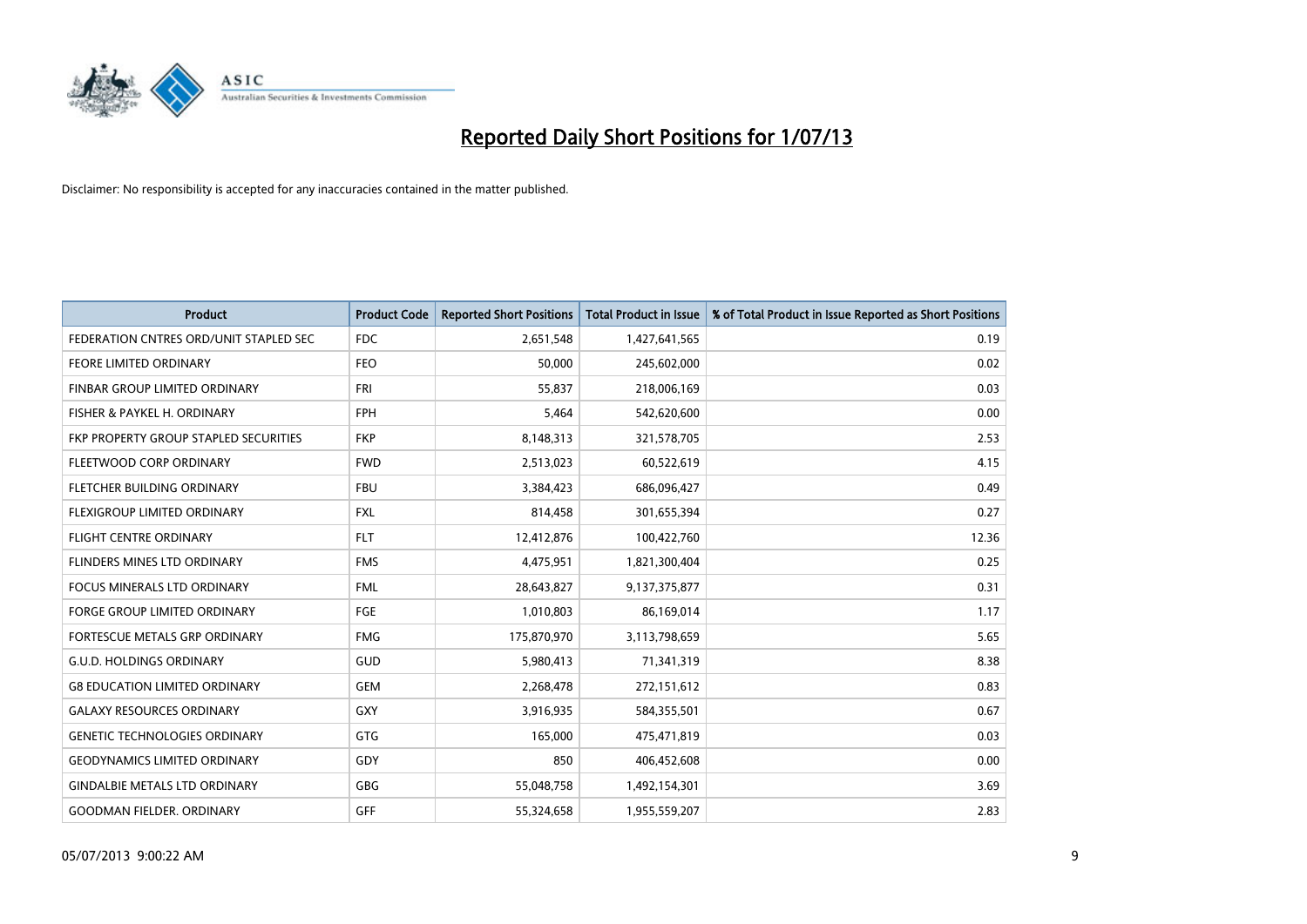

| <b>Product</b>                         | <b>Product Code</b> | <b>Reported Short Positions</b> | <b>Total Product in Issue</b> | % of Total Product in Issue Reported as Short Positions |
|----------------------------------------|---------------------|---------------------------------|-------------------------------|---------------------------------------------------------|
| FEDERATION CNTRES ORD/UNIT STAPLED SEC | <b>FDC</b>          | 2,651,548                       | 1,427,641,565                 | 0.19                                                    |
| FEORE LIMITED ORDINARY                 | <b>FEO</b>          | 50,000                          | 245,602,000                   | 0.02                                                    |
| FINBAR GROUP LIMITED ORDINARY          | FRI                 | 55,837                          | 218,006,169                   | 0.03                                                    |
| FISHER & PAYKEL H. ORDINARY            | <b>FPH</b>          | 5,464                           | 542,620,600                   | 0.00                                                    |
| FKP PROPERTY GROUP STAPLED SECURITIES  | <b>FKP</b>          | 8,148,313                       | 321,578,705                   | 2.53                                                    |
| FLEETWOOD CORP ORDINARY                | <b>FWD</b>          | 2,513,023                       | 60,522,619                    | 4.15                                                    |
| FLETCHER BUILDING ORDINARY             | <b>FBU</b>          | 3,384,423                       | 686,096,427                   | 0.49                                                    |
| FLEXIGROUP LIMITED ORDINARY            | <b>FXL</b>          | 814,458                         | 301,655,394                   | 0.27                                                    |
| <b>FLIGHT CENTRE ORDINARY</b>          | <b>FLT</b>          | 12,412,876                      | 100,422,760                   | 12.36                                                   |
| FLINDERS MINES LTD ORDINARY            | <b>FMS</b>          | 4,475,951                       | 1,821,300,404                 | 0.25                                                    |
| FOCUS MINERALS LTD ORDINARY            | <b>FML</b>          | 28,643,827                      | 9,137,375,877                 | 0.31                                                    |
| <b>FORGE GROUP LIMITED ORDINARY</b>    | <b>FGE</b>          | 1,010,803                       | 86,169,014                    | 1.17                                                    |
| FORTESCUE METALS GRP ORDINARY          | <b>FMG</b>          | 175,870,970                     | 3,113,798,659                 | 5.65                                                    |
| <b>G.U.D. HOLDINGS ORDINARY</b>        | <b>GUD</b>          | 5,980,413                       | 71,341,319                    | 8.38                                                    |
| <b>G8 EDUCATION LIMITED ORDINARY</b>   | GEM                 | 2,268,478                       | 272,151,612                   | 0.83                                                    |
| <b>GALAXY RESOURCES ORDINARY</b>       | GXY                 | 3,916,935                       | 584,355,501                   | 0.67                                                    |
| <b>GENETIC TECHNOLOGIES ORDINARY</b>   | GTG                 | 165,000                         | 475,471,819                   | 0.03                                                    |
| <b>GEODYNAMICS LIMITED ORDINARY</b>    | GDY                 | 850                             | 406,452,608                   | 0.00                                                    |
| <b>GINDALBIE METALS LTD ORDINARY</b>   | <b>GBG</b>          | 55,048,758                      | 1,492,154,301                 | 3.69                                                    |
| <b>GOODMAN FIELDER, ORDINARY</b>       | <b>GFF</b>          | 55,324,658                      | 1,955,559,207                 | 2.83                                                    |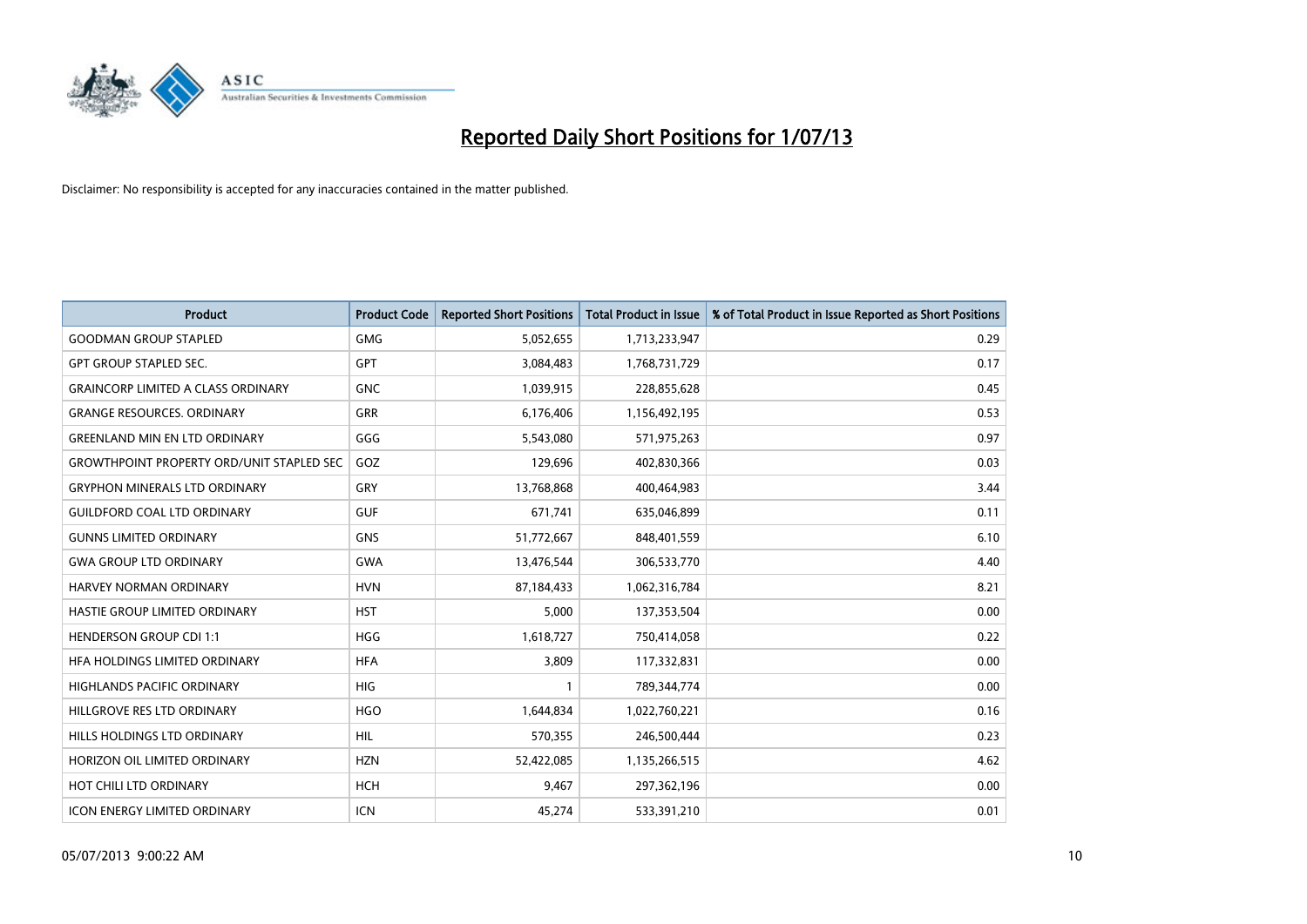

| <b>Product</b>                                   | <b>Product Code</b> | <b>Reported Short Positions</b> | <b>Total Product in Issue</b> | % of Total Product in Issue Reported as Short Positions |
|--------------------------------------------------|---------------------|---------------------------------|-------------------------------|---------------------------------------------------------|
| <b>GOODMAN GROUP STAPLED</b>                     | <b>GMG</b>          | 5,052,655                       | 1,713,233,947                 | 0.29                                                    |
| <b>GPT GROUP STAPLED SEC.</b>                    | <b>GPT</b>          | 3,084,483                       | 1,768,731,729                 | 0.17                                                    |
| <b>GRAINCORP LIMITED A CLASS ORDINARY</b>        | <b>GNC</b>          | 1,039,915                       | 228,855,628                   | 0.45                                                    |
| <b>GRANGE RESOURCES. ORDINARY</b>                | <b>GRR</b>          | 6,176,406                       | 1,156,492,195                 | 0.53                                                    |
| <b>GREENLAND MIN EN LTD ORDINARY</b>             | GGG                 | 5,543,080                       | 571,975,263                   | 0.97                                                    |
| <b>GROWTHPOINT PROPERTY ORD/UNIT STAPLED SEC</b> | GOZ                 | 129,696                         | 402,830,366                   | 0.03                                                    |
| <b>GRYPHON MINERALS LTD ORDINARY</b>             | GRY                 | 13,768,868                      | 400,464,983                   | 3.44                                                    |
| <b>GUILDFORD COAL LTD ORDINARY</b>               | <b>GUF</b>          | 671,741                         | 635,046,899                   | 0.11                                                    |
| <b>GUNNS LIMITED ORDINARY</b>                    | <b>GNS</b>          | 51,772,667                      | 848,401,559                   | 6.10                                                    |
| <b>GWA GROUP LTD ORDINARY</b>                    | <b>GWA</b>          | 13,476,544                      | 306,533,770                   | 4.40                                                    |
| <b>HARVEY NORMAN ORDINARY</b>                    | <b>HVN</b>          | 87,184,433                      | 1,062,316,784                 | 8.21                                                    |
| HASTIE GROUP LIMITED ORDINARY                    | <b>HST</b>          | 5,000                           | 137,353,504                   | 0.00                                                    |
| <b>HENDERSON GROUP CDI 1:1</b>                   | <b>HGG</b>          | 1,618,727                       | 750,414,058                   | 0.22                                                    |
| HFA HOLDINGS LIMITED ORDINARY                    | <b>HFA</b>          | 3,809                           | 117,332,831                   | 0.00                                                    |
| <b>HIGHLANDS PACIFIC ORDINARY</b>                | <b>HIG</b>          | $\mathbf{1}$                    | 789,344,774                   | 0.00                                                    |
| HILLGROVE RES LTD ORDINARY                       | <b>HGO</b>          | 1,644,834                       | 1,022,760,221                 | 0.16                                                    |
| HILLS HOLDINGS LTD ORDINARY                      | <b>HIL</b>          | 570,355                         | 246,500,444                   | 0.23                                                    |
| HORIZON OIL LIMITED ORDINARY                     | <b>HZN</b>          | 52,422,085                      | 1,135,266,515                 | 4.62                                                    |
| HOT CHILI LTD ORDINARY                           | <b>HCH</b>          | 9,467                           | 297,362,196                   | 0.00                                                    |
| <b>ICON ENERGY LIMITED ORDINARY</b>              | <b>ICN</b>          | 45,274                          | 533,391,210                   | 0.01                                                    |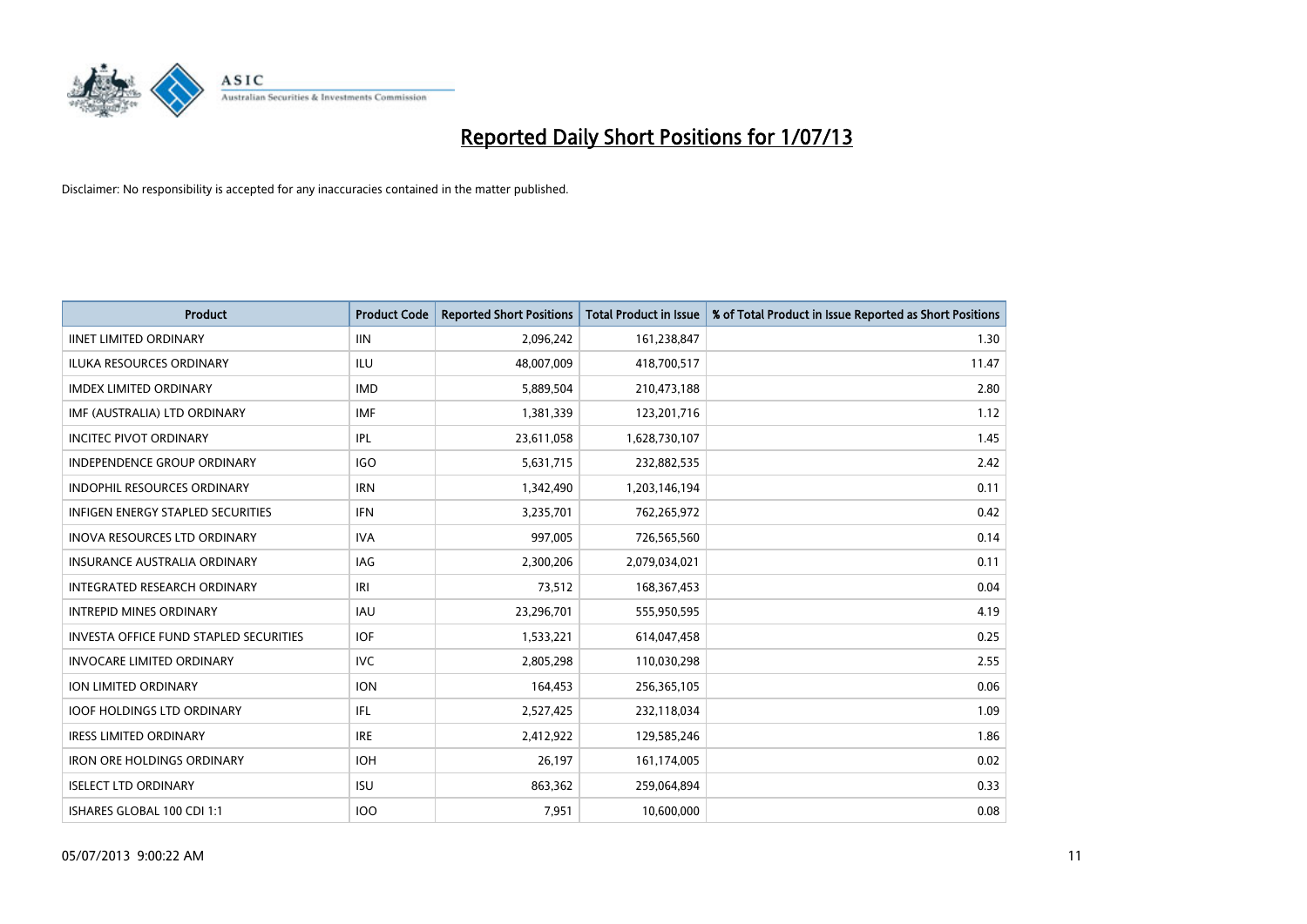

| <b>Product</b>                                | <b>Product Code</b> | <b>Reported Short Positions</b> | <b>Total Product in Issue</b> | % of Total Product in Issue Reported as Short Positions |
|-----------------------------------------------|---------------------|---------------------------------|-------------------------------|---------------------------------------------------------|
| <b>IINET LIMITED ORDINARY</b>                 | <b>IIN</b>          | 2,096,242                       | 161,238,847                   | 1.30                                                    |
| <b>ILUKA RESOURCES ORDINARY</b>               | ILU                 | 48,007,009                      | 418,700,517                   | 11.47                                                   |
| <b>IMDEX LIMITED ORDINARY</b>                 | <b>IMD</b>          | 5,889,504                       | 210,473,188                   | 2.80                                                    |
| IMF (AUSTRALIA) LTD ORDINARY                  | <b>IMF</b>          | 1,381,339                       | 123,201,716                   | 1.12                                                    |
| <b>INCITEC PIVOT ORDINARY</b>                 | IPL                 | 23,611,058                      | 1,628,730,107                 | 1.45                                                    |
| <b>INDEPENDENCE GROUP ORDINARY</b>            | <b>IGO</b>          | 5,631,715                       | 232,882,535                   | 2.42                                                    |
| <b>INDOPHIL RESOURCES ORDINARY</b>            | <b>IRN</b>          | 1,342,490                       | 1,203,146,194                 | 0.11                                                    |
| INFIGEN ENERGY STAPLED SECURITIES             | <b>IFN</b>          | 3,235,701                       | 762,265,972                   | 0.42                                                    |
| <b>INOVA RESOURCES LTD ORDINARY</b>           | <b>IVA</b>          | 997,005                         | 726,565,560                   | 0.14                                                    |
| <b>INSURANCE AUSTRALIA ORDINARY</b>           | IAG                 | 2,300,206                       | 2,079,034,021                 | 0.11                                                    |
| INTEGRATED RESEARCH ORDINARY                  | IRI                 | 73,512                          | 168, 367, 453                 | 0.04                                                    |
| <b>INTREPID MINES ORDINARY</b>                | IAU                 | 23,296,701                      | 555,950,595                   | 4.19                                                    |
| <b>INVESTA OFFICE FUND STAPLED SECURITIES</b> | <b>IOF</b>          | 1,533,221                       | 614,047,458                   | 0.25                                                    |
| <b>INVOCARE LIMITED ORDINARY</b>              | <b>IVC</b>          | 2,805,298                       | 110,030,298                   | 2.55                                                    |
| <b>ION LIMITED ORDINARY</b>                   | <b>ION</b>          | 164,453                         | 256,365,105                   | 0.06                                                    |
| <b>IOOF HOLDINGS LTD ORDINARY</b>             | IFL                 | 2,527,425                       | 232,118,034                   | 1.09                                                    |
| <b>IRESS LIMITED ORDINARY</b>                 | <b>IRE</b>          | 2,412,922                       | 129,585,246                   | 1.86                                                    |
| <b>IRON ORE HOLDINGS ORDINARY</b>             | <b>IOH</b>          | 26,197                          | 161,174,005                   | 0.02                                                    |
| <b>ISELECT LTD ORDINARY</b>                   | <b>ISU</b>          | 863,362                         | 259,064,894                   | 0.33                                                    |
| ISHARES GLOBAL 100 CDI 1:1                    | <b>IOO</b>          | 7,951                           | 10,600,000                    | 0.08                                                    |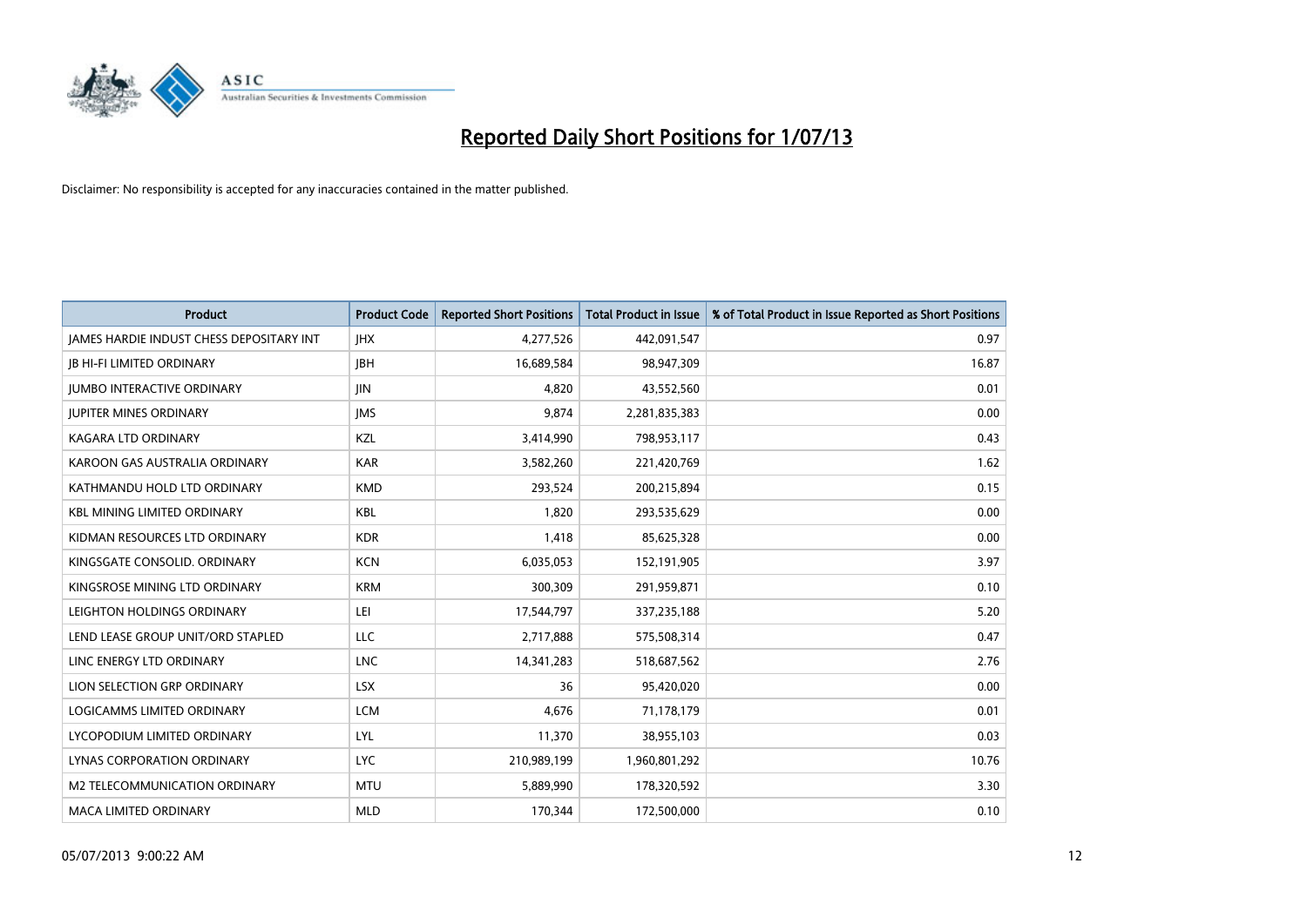

| <b>Product</b>                                  | <b>Product Code</b> | <b>Reported Short Positions</b> | <b>Total Product in Issue</b> | % of Total Product in Issue Reported as Short Positions |
|-------------------------------------------------|---------------------|---------------------------------|-------------------------------|---------------------------------------------------------|
| <b>JAMES HARDIE INDUST CHESS DEPOSITARY INT</b> | <b>IHX</b>          | 4,277,526                       | 442,091,547                   | 0.97                                                    |
| <b>JB HI-FI LIMITED ORDINARY</b>                | <b>JBH</b>          | 16,689,584                      | 98,947,309                    | 16.87                                                   |
| <b>IUMBO INTERACTIVE ORDINARY</b>               | <b>IIN</b>          | 4,820                           | 43,552,560                    | 0.01                                                    |
| <b>JUPITER MINES ORDINARY</b>                   | <b>IMS</b>          | 9,874                           | 2,281,835,383                 | 0.00                                                    |
| <b>KAGARA LTD ORDINARY</b>                      | <b>KZL</b>          | 3,414,990                       | 798,953,117                   | 0.43                                                    |
| KAROON GAS AUSTRALIA ORDINARY                   | <b>KAR</b>          | 3,582,260                       | 221,420,769                   | 1.62                                                    |
| KATHMANDU HOLD LTD ORDINARY                     | <b>KMD</b>          | 293,524                         | 200,215,894                   | 0.15                                                    |
| <b>KBL MINING LIMITED ORDINARY</b>              | <b>KBL</b>          | 1,820                           | 293,535,629                   | 0.00                                                    |
| KIDMAN RESOURCES LTD ORDINARY                   | <b>KDR</b>          | 1,418                           | 85,625,328                    | 0.00                                                    |
| KINGSGATE CONSOLID. ORDINARY                    | <b>KCN</b>          | 6,035,053                       | 152,191,905                   | 3.97                                                    |
| KINGSROSE MINING LTD ORDINARY                   | <b>KRM</b>          | 300,309                         | 291,959,871                   | 0.10                                                    |
| LEIGHTON HOLDINGS ORDINARY                      | LEI                 | 17,544,797                      | 337,235,188                   | 5.20                                                    |
| LEND LEASE GROUP UNIT/ORD STAPLED               | <b>LLC</b>          | 2,717,888                       | 575,508,314                   | 0.47                                                    |
| LINC ENERGY LTD ORDINARY                        | <b>LNC</b>          | 14,341,283                      | 518,687,562                   | 2.76                                                    |
| LION SELECTION GRP ORDINARY                     | <b>LSX</b>          | 36                              | 95,420,020                    | 0.00                                                    |
| LOGICAMMS LIMITED ORDINARY                      | <b>LCM</b>          | 4,676                           | 71,178,179                    | 0.01                                                    |
| LYCOPODIUM LIMITED ORDINARY                     | LYL                 | 11,370                          | 38,955,103                    | 0.03                                                    |
| LYNAS CORPORATION ORDINARY                      | <b>LYC</b>          | 210,989,199                     | 1,960,801,292                 | 10.76                                                   |
| <b>M2 TELECOMMUNICATION ORDINARY</b>            | <b>MTU</b>          | 5,889,990                       | 178,320,592                   | 3.30                                                    |
| <b>MACA LIMITED ORDINARY</b>                    | <b>MLD</b>          | 170,344                         | 172,500,000                   | 0.10                                                    |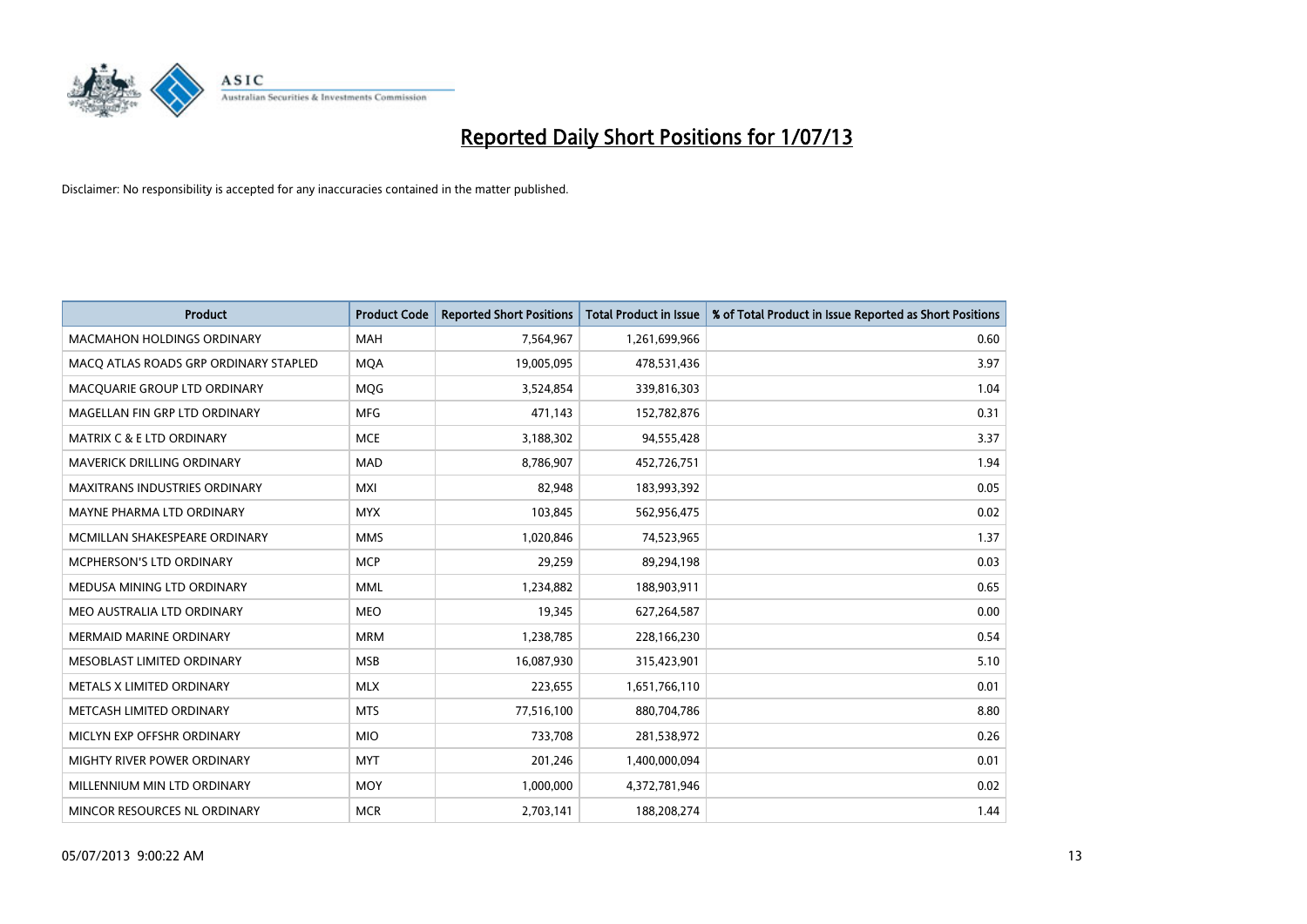

| <b>Product</b>                        | <b>Product Code</b> | <b>Reported Short Positions</b> | <b>Total Product in Issue</b> | % of Total Product in Issue Reported as Short Positions |
|---------------------------------------|---------------------|---------------------------------|-------------------------------|---------------------------------------------------------|
| <b>MACMAHON HOLDINGS ORDINARY</b>     | <b>MAH</b>          | 7,564,967                       | 1,261,699,966                 | 0.60                                                    |
| MACO ATLAS ROADS GRP ORDINARY STAPLED | <b>MOA</b>          | 19,005,095                      | 478,531,436                   | 3.97                                                    |
| MACQUARIE GROUP LTD ORDINARY          | <b>MOG</b>          | 3,524,854                       | 339,816,303                   | 1.04                                                    |
| MAGELLAN FIN GRP LTD ORDINARY         | <b>MFG</b>          | 471,143                         | 152,782,876                   | 0.31                                                    |
| <b>MATRIX C &amp; E LTD ORDINARY</b>  | <b>MCE</b>          | 3,188,302                       | 94,555,428                    | 3.37                                                    |
| MAVERICK DRILLING ORDINARY            | <b>MAD</b>          | 8,786,907                       | 452,726,751                   | 1.94                                                    |
| <b>MAXITRANS INDUSTRIES ORDINARY</b>  | <b>MXI</b>          | 82,948                          | 183,993,392                   | 0.05                                                    |
| MAYNE PHARMA LTD ORDINARY             | <b>MYX</b>          | 103,845                         | 562,956,475                   | 0.02                                                    |
| MCMILLAN SHAKESPEARE ORDINARY         | <b>MMS</b>          | 1,020,846                       | 74,523,965                    | 1.37                                                    |
| MCPHERSON'S LTD ORDINARY              | <b>MCP</b>          | 29,259                          | 89,294,198                    | 0.03                                                    |
| MEDUSA MINING LTD ORDINARY            | <b>MML</b>          | 1,234,882                       | 188,903,911                   | 0.65                                                    |
| MEO AUSTRALIA LTD ORDINARY            | <b>MEO</b>          | 19,345                          | 627,264,587                   | 0.00                                                    |
| MERMAID MARINE ORDINARY               | <b>MRM</b>          | 1,238,785                       | 228,166,230                   | 0.54                                                    |
| MESOBLAST LIMITED ORDINARY            | <b>MSB</b>          | 16,087,930                      | 315,423,901                   | 5.10                                                    |
| METALS X LIMITED ORDINARY             | <b>MLX</b>          | 223,655                         | 1,651,766,110                 | 0.01                                                    |
| METCASH LIMITED ORDINARY              | <b>MTS</b>          | 77,516,100                      | 880,704,786                   | 8.80                                                    |
| MICLYN EXP OFFSHR ORDINARY            | <b>MIO</b>          | 733,708                         | 281,538,972                   | 0.26                                                    |
| MIGHTY RIVER POWER ORDINARY           | <b>MYT</b>          | 201,246                         | 1,400,000,094                 | 0.01                                                    |
| MILLENNIUM MIN LTD ORDINARY           | <b>MOY</b>          | 1,000,000                       | 4,372,781,946                 | 0.02                                                    |
| MINCOR RESOURCES NL ORDINARY          | <b>MCR</b>          | 2,703,141                       | 188,208,274                   | 1.44                                                    |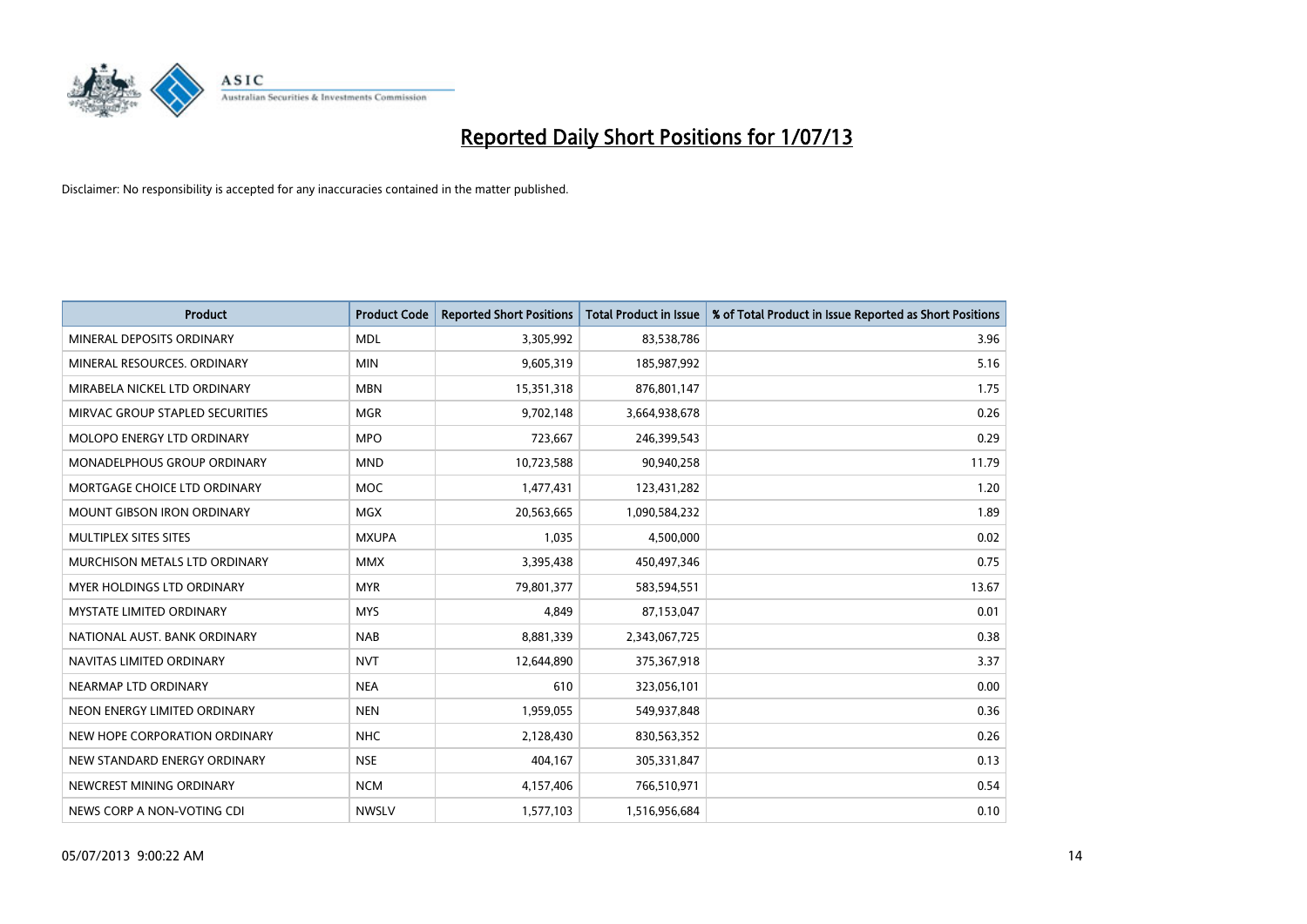

| <b>Product</b>                    | <b>Product Code</b> | <b>Reported Short Positions</b> | <b>Total Product in Issue</b> | % of Total Product in Issue Reported as Short Positions |
|-----------------------------------|---------------------|---------------------------------|-------------------------------|---------------------------------------------------------|
| MINERAL DEPOSITS ORDINARY         | <b>MDL</b>          | 3,305,992                       | 83,538,786                    | 3.96                                                    |
| MINERAL RESOURCES. ORDINARY       | <b>MIN</b>          | 9,605,319                       | 185,987,992                   | 5.16                                                    |
| MIRABELA NICKEL LTD ORDINARY      | <b>MBN</b>          | 15,351,318                      | 876,801,147                   | 1.75                                                    |
| MIRVAC GROUP STAPLED SECURITIES   | <b>MGR</b>          | 9,702,148                       | 3,664,938,678                 | 0.26                                                    |
| MOLOPO ENERGY LTD ORDINARY        | <b>MPO</b>          | 723,667                         | 246,399,543                   | 0.29                                                    |
| MONADELPHOUS GROUP ORDINARY       | <b>MND</b>          | 10,723,588                      | 90,940,258                    | 11.79                                                   |
| MORTGAGE CHOICE LTD ORDINARY      | <b>MOC</b>          | 1,477,431                       | 123,431,282                   | 1.20                                                    |
| <b>MOUNT GIBSON IRON ORDINARY</b> | <b>MGX</b>          | 20,563,665                      | 1,090,584,232                 | 1.89                                                    |
| MULTIPLEX SITES SITES             | <b>MXUPA</b>        | 1,035                           | 4,500,000                     | 0.02                                                    |
| MURCHISON METALS LTD ORDINARY     | <b>MMX</b>          | 3,395,438                       | 450,497,346                   | 0.75                                                    |
| MYER HOLDINGS LTD ORDINARY        | <b>MYR</b>          | 79,801,377                      | 583,594,551                   | 13.67                                                   |
| <b>MYSTATE LIMITED ORDINARY</b>   | <b>MYS</b>          | 4,849                           | 87,153,047                    | 0.01                                                    |
| NATIONAL AUST, BANK ORDINARY      | <b>NAB</b>          | 8,881,339                       | 2,343,067,725                 | 0.38                                                    |
| NAVITAS LIMITED ORDINARY          | <b>NVT</b>          | 12,644,890                      | 375,367,918                   | 3.37                                                    |
| NEARMAP LTD ORDINARY              | <b>NEA</b>          | 610                             | 323,056,101                   | 0.00                                                    |
| NEON ENERGY LIMITED ORDINARY      | <b>NEN</b>          | 1,959,055                       | 549,937,848                   | 0.36                                                    |
| NEW HOPE CORPORATION ORDINARY     | <b>NHC</b>          | 2,128,430                       | 830,563,352                   | 0.26                                                    |
| NEW STANDARD ENERGY ORDINARY      | <b>NSE</b>          | 404,167                         | 305,331,847                   | 0.13                                                    |
| NEWCREST MINING ORDINARY          | <b>NCM</b>          | 4,157,406                       | 766,510,971                   | 0.54                                                    |
| NEWS CORP A NON-VOTING CDI        | <b>NWSLV</b>        | 1,577,103                       | 1,516,956,684                 | 0.10                                                    |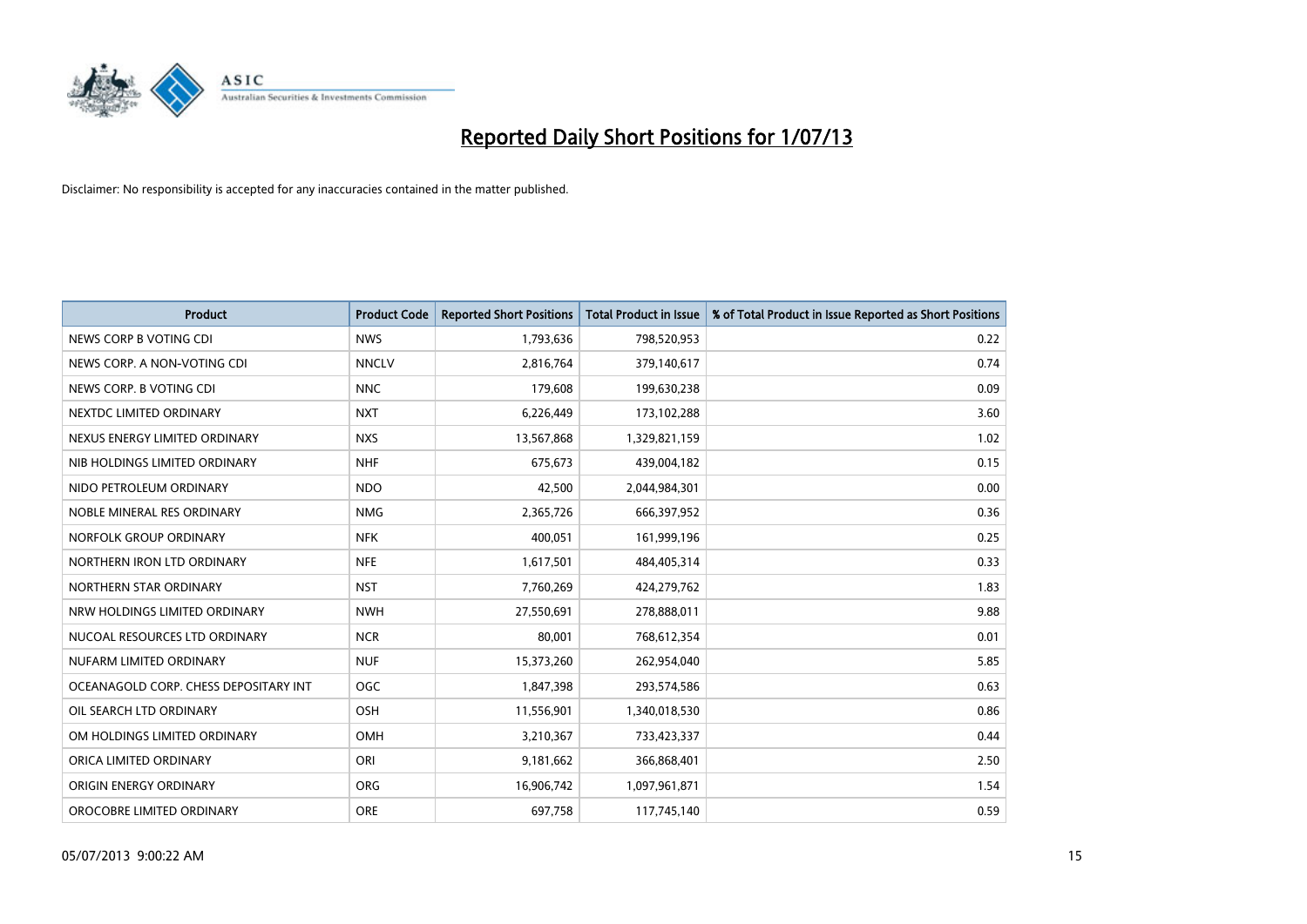

| <b>Product</b>                        | <b>Product Code</b> | <b>Reported Short Positions</b> | <b>Total Product in Issue</b> | % of Total Product in Issue Reported as Short Positions |
|---------------------------------------|---------------------|---------------------------------|-------------------------------|---------------------------------------------------------|
| NEWS CORP B VOTING CDI                | <b>NWS</b>          | 1,793,636                       | 798,520,953                   | 0.22                                                    |
| NEWS CORP. A NON-VOTING CDI           | <b>NNCLV</b>        | 2,816,764                       | 379,140,617                   | 0.74                                                    |
| NEWS CORP. B VOTING CDI               | <b>NNC</b>          | 179,608                         | 199,630,238                   | 0.09                                                    |
| NEXTDC LIMITED ORDINARY               | <b>NXT</b>          | 6,226,449                       | 173,102,288                   | 3.60                                                    |
| NEXUS ENERGY LIMITED ORDINARY         | <b>NXS</b>          | 13,567,868                      | 1,329,821,159                 | 1.02                                                    |
| NIB HOLDINGS LIMITED ORDINARY         | <b>NHF</b>          | 675,673                         | 439,004,182                   | 0.15                                                    |
| NIDO PETROLEUM ORDINARY               | <b>NDO</b>          | 42,500                          | 2,044,984,301                 | 0.00                                                    |
| NOBLE MINERAL RES ORDINARY            | <b>NMG</b>          | 2,365,726                       | 666,397,952                   | 0.36                                                    |
| NORFOLK GROUP ORDINARY                | <b>NFK</b>          | 400,051                         | 161,999,196                   | 0.25                                                    |
| NORTHERN IRON LTD ORDINARY            | <b>NFE</b>          | 1,617,501                       | 484,405,314                   | 0.33                                                    |
| NORTHERN STAR ORDINARY                | <b>NST</b>          | 7,760,269                       | 424,279,762                   | 1.83                                                    |
| NRW HOLDINGS LIMITED ORDINARY         | <b>NWH</b>          | 27,550,691                      | 278,888,011                   | 9.88                                                    |
| NUCOAL RESOURCES LTD ORDINARY         | <b>NCR</b>          | 80,001                          | 768,612,354                   | 0.01                                                    |
| NUFARM LIMITED ORDINARY               | <b>NUF</b>          | 15,373,260                      | 262,954,040                   | 5.85                                                    |
| OCEANAGOLD CORP. CHESS DEPOSITARY INT | <b>OGC</b>          | 1,847,398                       | 293,574,586                   | 0.63                                                    |
| OIL SEARCH LTD ORDINARY               | OSH                 | 11,556,901                      | 1,340,018,530                 | 0.86                                                    |
| OM HOLDINGS LIMITED ORDINARY          | OMH                 | 3,210,367                       | 733,423,337                   | 0.44                                                    |
| ORICA LIMITED ORDINARY                | ORI                 | 9,181,662                       | 366,868,401                   | 2.50                                                    |
| ORIGIN ENERGY ORDINARY                | <b>ORG</b>          | 16,906,742                      | 1,097,961,871                 | 1.54                                                    |
| OROCOBRE LIMITED ORDINARY             | <b>ORE</b>          | 697,758                         | 117,745,140                   | 0.59                                                    |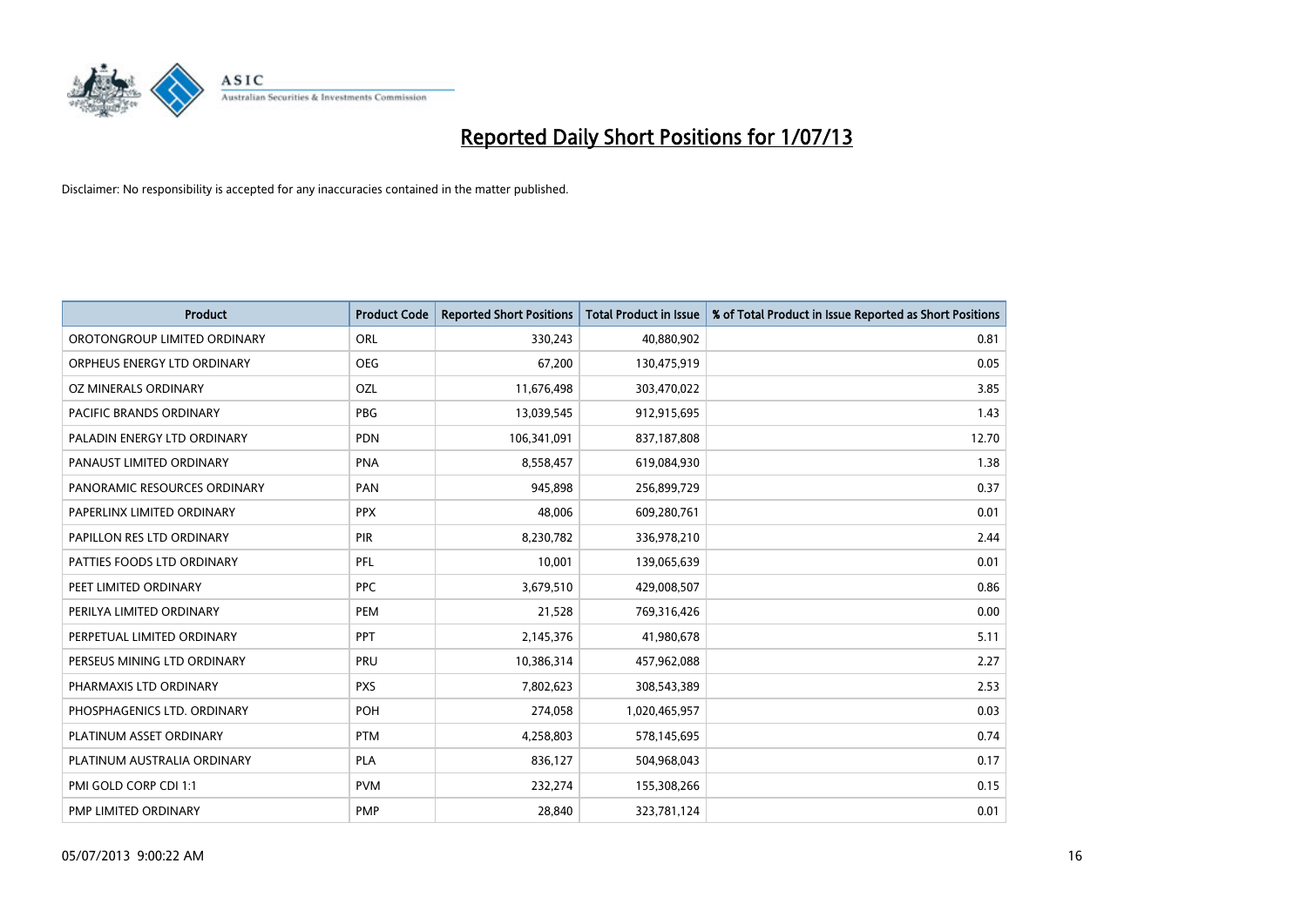

| <b>Product</b>                 | <b>Product Code</b> | <b>Reported Short Positions</b> | <b>Total Product in Issue</b> | % of Total Product in Issue Reported as Short Positions |
|--------------------------------|---------------------|---------------------------------|-------------------------------|---------------------------------------------------------|
| OROTONGROUP LIMITED ORDINARY   | ORL                 | 330,243                         | 40,880,902                    | 0.81                                                    |
| ORPHEUS ENERGY LTD ORDINARY    | <b>OEG</b>          | 67,200                          | 130,475,919                   | 0.05                                                    |
| OZ MINERALS ORDINARY           | OZL                 | 11,676,498                      | 303,470,022                   | 3.85                                                    |
| <b>PACIFIC BRANDS ORDINARY</b> | <b>PBG</b>          | 13,039,545                      | 912,915,695                   | 1.43                                                    |
| PALADIN ENERGY LTD ORDINARY    | <b>PDN</b>          | 106,341,091                     | 837,187,808                   | 12.70                                                   |
| PANAUST LIMITED ORDINARY       | <b>PNA</b>          | 8,558,457                       | 619,084,930                   | 1.38                                                    |
| PANORAMIC RESOURCES ORDINARY   | PAN                 | 945,898                         | 256,899,729                   | 0.37                                                    |
| PAPERLINX LIMITED ORDINARY     | <b>PPX</b>          | 48,006                          | 609,280,761                   | 0.01                                                    |
| PAPILLON RES LTD ORDINARY      | PIR                 | 8,230,782                       | 336,978,210                   | 2.44                                                    |
| PATTIES FOODS LTD ORDINARY     | PFL                 | 10,001                          | 139,065,639                   | 0.01                                                    |
| PEET LIMITED ORDINARY          | <b>PPC</b>          | 3,679,510                       | 429,008,507                   | 0.86                                                    |
| PERILYA LIMITED ORDINARY       | <b>PEM</b>          | 21,528                          | 769,316,426                   | 0.00                                                    |
| PERPETUAL LIMITED ORDINARY     | PPT                 | 2,145,376                       | 41,980,678                    | 5.11                                                    |
| PERSEUS MINING LTD ORDINARY    | PRU                 | 10,386,314                      | 457,962,088                   | 2.27                                                    |
| PHARMAXIS LTD ORDINARY         | <b>PXS</b>          | 7,802,623                       | 308,543,389                   | 2.53                                                    |
| PHOSPHAGENICS LTD. ORDINARY    | POH                 | 274,058                         | 1,020,465,957                 | 0.03                                                    |
| PLATINUM ASSET ORDINARY        | <b>PTM</b>          | 4,258,803                       | 578,145,695                   | 0.74                                                    |
| PLATINUM AUSTRALIA ORDINARY    | <b>PLA</b>          | 836,127                         | 504,968,043                   | 0.17                                                    |
| PMI GOLD CORP CDI 1:1          | <b>PVM</b>          | 232,274                         | 155,308,266                   | 0.15                                                    |
| PMP LIMITED ORDINARY           | <b>PMP</b>          | 28,840                          | 323,781,124                   | 0.01                                                    |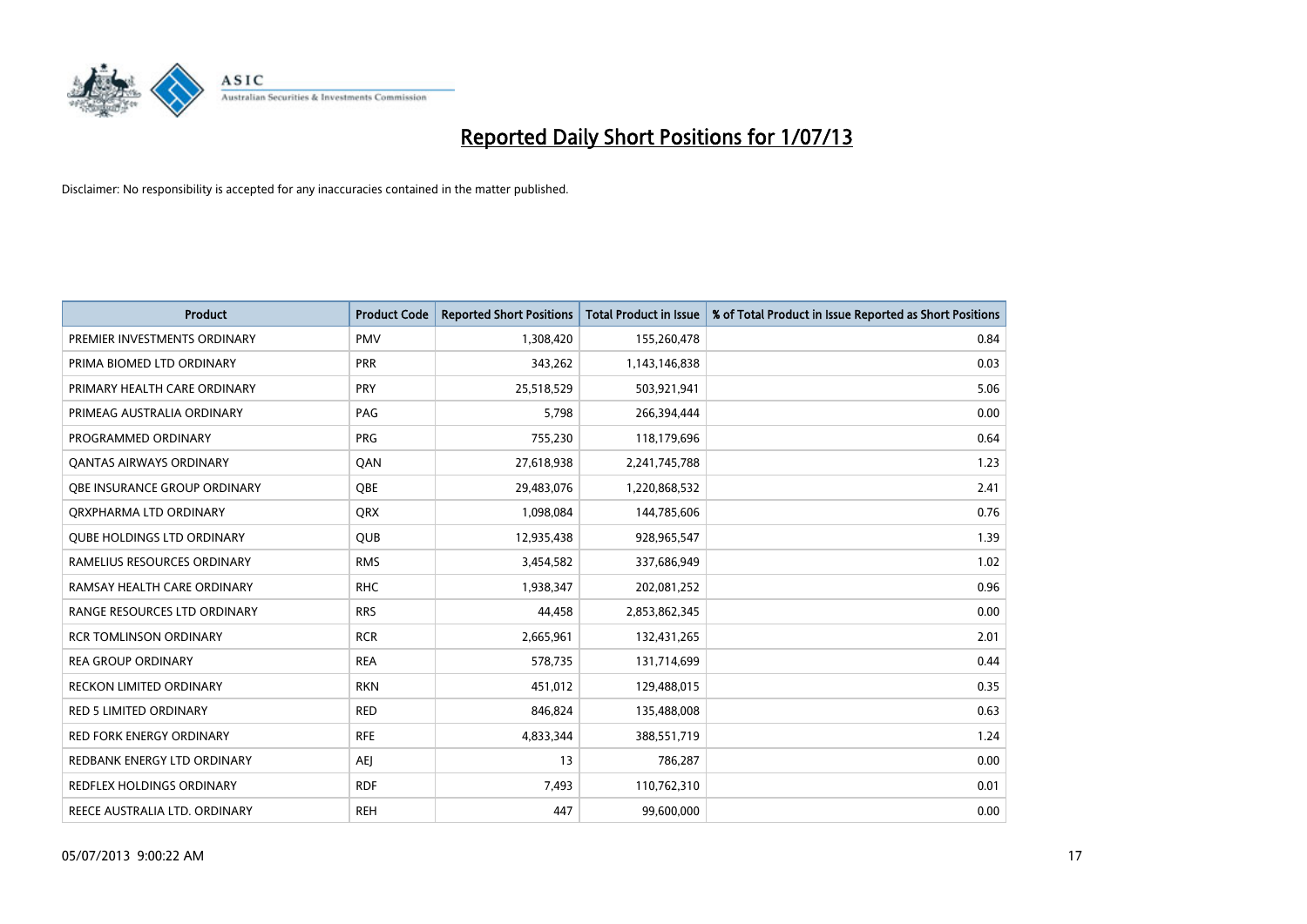

| <b>Product</b>                    | <b>Product Code</b> | <b>Reported Short Positions</b> | <b>Total Product in Issue</b> | % of Total Product in Issue Reported as Short Positions |
|-----------------------------------|---------------------|---------------------------------|-------------------------------|---------------------------------------------------------|
| PREMIER INVESTMENTS ORDINARY      | <b>PMV</b>          | 1,308,420                       | 155,260,478                   | 0.84                                                    |
| PRIMA BIOMED LTD ORDINARY         | <b>PRR</b>          | 343,262                         | 1,143,146,838                 | 0.03                                                    |
| PRIMARY HEALTH CARE ORDINARY      | PRY                 | 25,518,529                      | 503,921,941                   | 5.06                                                    |
| PRIMEAG AUSTRALIA ORDINARY        | PAG                 | 5,798                           | 266,394,444                   | 0.00                                                    |
| PROGRAMMED ORDINARY               | <b>PRG</b>          | 755,230                         | 118,179,696                   | 0.64                                                    |
| <b>QANTAS AIRWAYS ORDINARY</b>    | QAN                 | 27,618,938                      | 2,241,745,788                 | 1.23                                                    |
| OBE INSURANCE GROUP ORDINARY      | <b>OBE</b>          | 29,483,076                      | 1,220,868,532                 | 2.41                                                    |
| ORXPHARMA LTD ORDINARY            | <b>QRX</b>          | 1,098,084                       | 144,785,606                   | 0.76                                                    |
| <b>QUBE HOLDINGS LTD ORDINARY</b> | <b>QUB</b>          | 12,935,438                      | 928,965,547                   | 1.39                                                    |
| RAMELIUS RESOURCES ORDINARY       | <b>RMS</b>          | 3,454,582                       | 337,686,949                   | 1.02                                                    |
| RAMSAY HEALTH CARE ORDINARY       | <b>RHC</b>          | 1,938,347                       | 202,081,252                   | 0.96                                                    |
| RANGE RESOURCES LTD ORDINARY      | <b>RRS</b>          | 44,458                          | 2,853,862,345                 | 0.00                                                    |
| <b>RCR TOMLINSON ORDINARY</b>     | <b>RCR</b>          | 2,665,961                       | 132,431,265                   | 2.01                                                    |
| <b>REA GROUP ORDINARY</b>         | <b>REA</b>          | 578,735                         | 131,714,699                   | 0.44                                                    |
| <b>RECKON LIMITED ORDINARY</b>    | <b>RKN</b>          | 451,012                         | 129,488,015                   | 0.35                                                    |
| RED 5 LIMITED ORDINARY            | <b>RED</b>          | 846,824                         | 135,488,008                   | 0.63                                                    |
| RED FORK ENERGY ORDINARY          | <b>RFE</b>          | 4,833,344                       | 388,551,719                   | 1.24                                                    |
| REDBANK ENERGY LTD ORDINARY       | AEJ                 | 13                              | 786,287                       | 0.00                                                    |
| <b>REDFLEX HOLDINGS ORDINARY</b>  | <b>RDF</b>          | 7,493                           | 110,762,310                   | 0.01                                                    |
| REECE AUSTRALIA LTD. ORDINARY     | <b>REH</b>          | 447                             | 99,600,000                    | 0.00                                                    |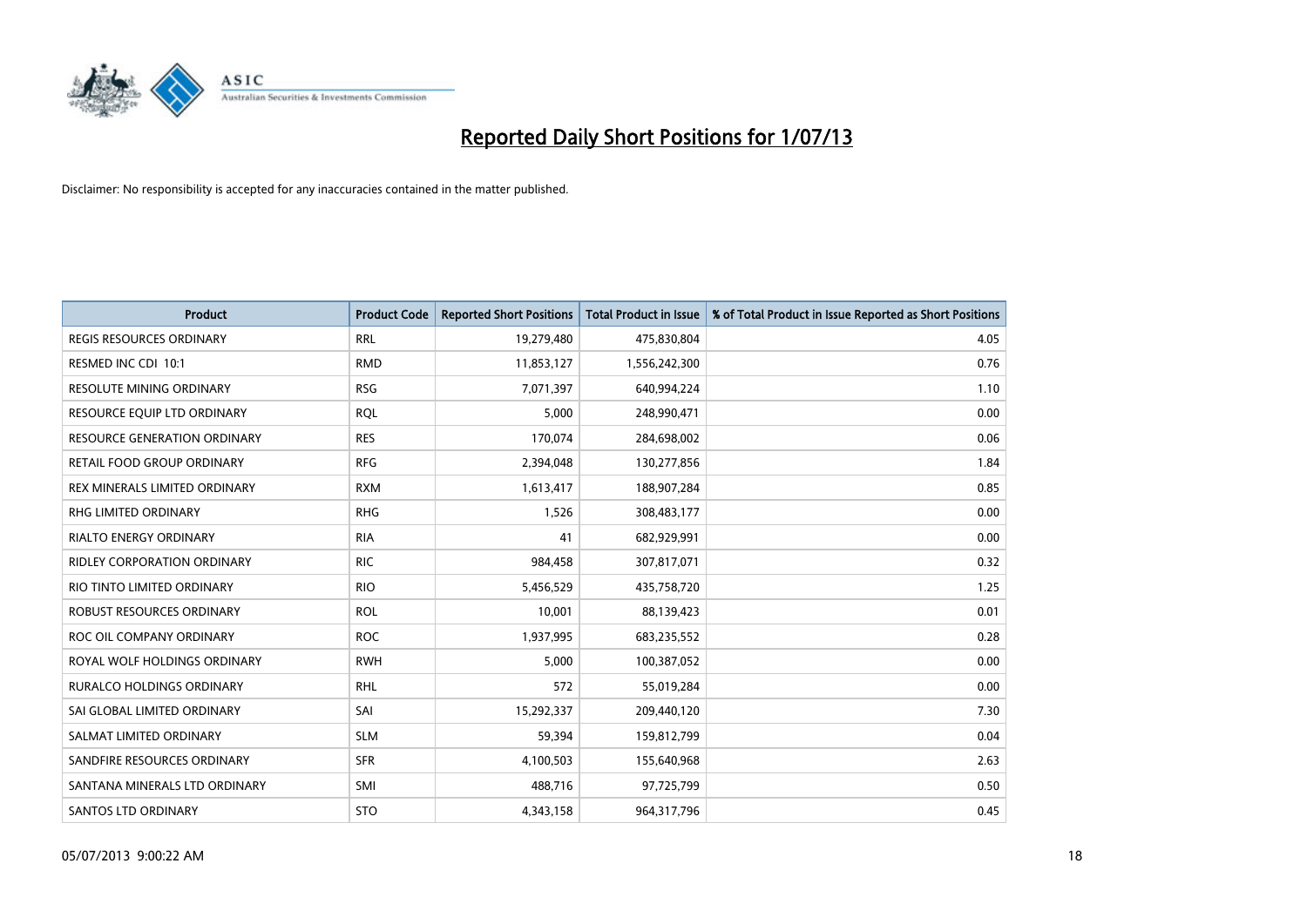

| <b>Product</b>                      | <b>Product Code</b> | <b>Reported Short Positions</b> | <b>Total Product in Issue</b> | % of Total Product in Issue Reported as Short Positions |
|-------------------------------------|---------------------|---------------------------------|-------------------------------|---------------------------------------------------------|
| <b>REGIS RESOURCES ORDINARY</b>     | <b>RRL</b>          | 19,279,480                      | 475,830,804                   | 4.05                                                    |
| RESMED INC CDI 10:1                 | <b>RMD</b>          | 11,853,127                      | 1,556,242,300                 | 0.76                                                    |
| <b>RESOLUTE MINING ORDINARY</b>     | <b>RSG</b>          | 7,071,397                       | 640,994,224                   | 1.10                                                    |
| RESOURCE EQUIP LTD ORDINARY         | <b>RQL</b>          | 5,000                           | 248,990,471                   | 0.00                                                    |
| <b>RESOURCE GENERATION ORDINARY</b> | <b>RES</b>          | 170,074                         | 284,698,002                   | 0.06                                                    |
| <b>RETAIL FOOD GROUP ORDINARY</b>   | <b>RFG</b>          | 2,394,048                       | 130,277,856                   | 1.84                                                    |
| REX MINERALS LIMITED ORDINARY       | <b>RXM</b>          | 1,613,417                       | 188,907,284                   | 0.85                                                    |
| RHG LIMITED ORDINARY                | <b>RHG</b>          | 1,526                           | 308,483,177                   | 0.00                                                    |
| <b>RIALTO ENERGY ORDINARY</b>       | <b>RIA</b>          | 41                              | 682,929,991                   | 0.00                                                    |
| <b>RIDLEY CORPORATION ORDINARY</b>  | <b>RIC</b>          | 984,458                         | 307,817,071                   | 0.32                                                    |
| RIO TINTO LIMITED ORDINARY          | <b>RIO</b>          | 5,456,529                       | 435,758,720                   | 1.25                                                    |
| ROBUST RESOURCES ORDINARY           | <b>ROL</b>          | 10,001                          | 88,139,423                    | 0.01                                                    |
| ROC OIL COMPANY ORDINARY            | <b>ROC</b>          | 1,937,995                       | 683,235,552                   | 0.28                                                    |
| ROYAL WOLF HOLDINGS ORDINARY        | <b>RWH</b>          | 5,000                           | 100,387,052                   | 0.00                                                    |
| <b>RURALCO HOLDINGS ORDINARY</b>    | <b>RHL</b>          | 572                             | 55,019,284                    | 0.00                                                    |
| SAI GLOBAL LIMITED ORDINARY         | SAI                 | 15,292,337                      | 209,440,120                   | 7.30                                                    |
| SALMAT LIMITED ORDINARY             | <b>SLM</b>          | 59,394                          | 159,812,799                   | 0.04                                                    |
| SANDFIRE RESOURCES ORDINARY         | <b>SFR</b>          | 4,100,503                       | 155,640,968                   | 2.63                                                    |
| SANTANA MINERALS LTD ORDINARY       | SMI                 | 488,716                         | 97,725,799                    | 0.50                                                    |
| <b>SANTOS LTD ORDINARY</b>          | <b>STO</b>          | 4,343,158                       | 964,317,796                   | 0.45                                                    |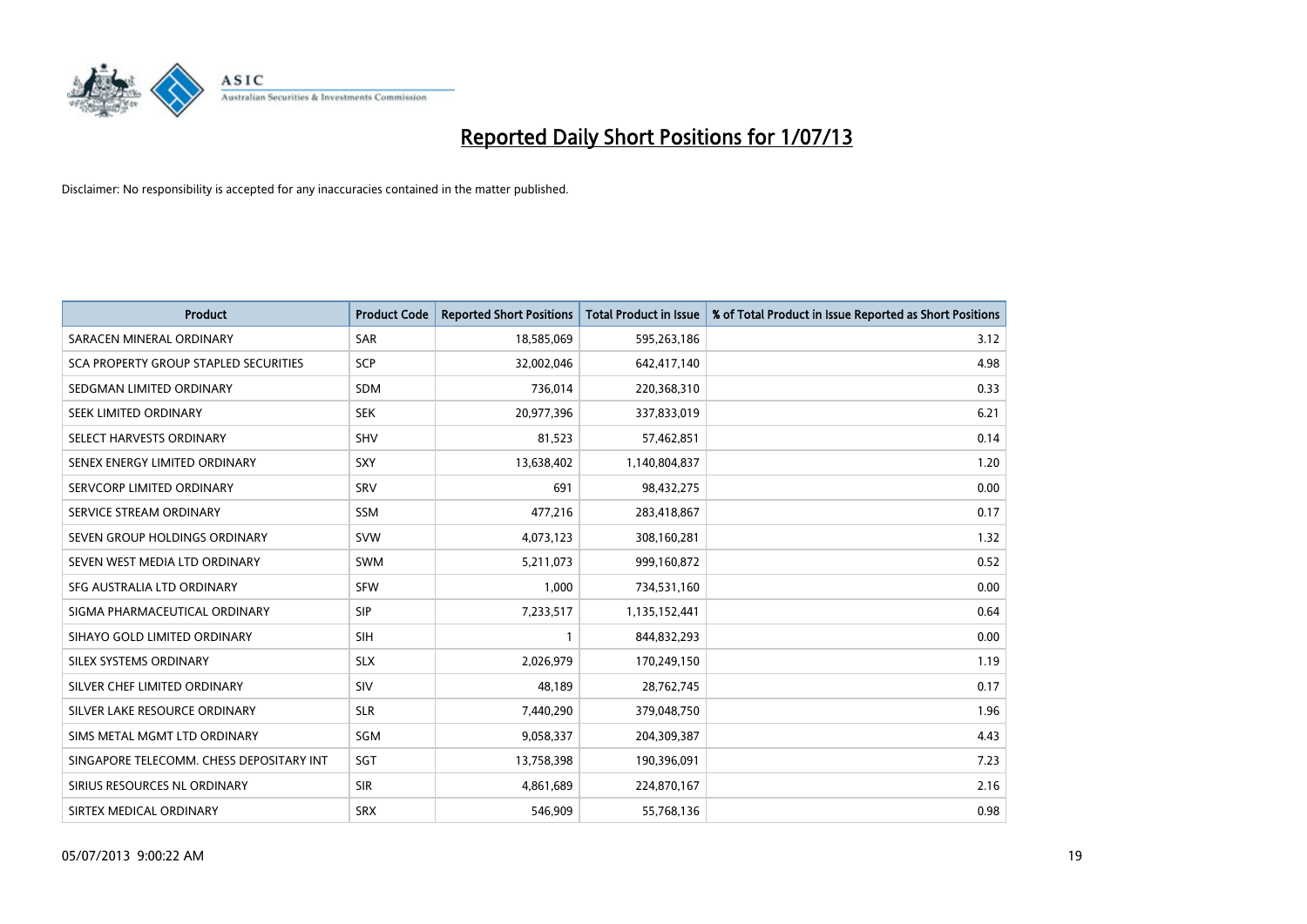

| <b>Product</b>                           | <b>Product Code</b> | <b>Reported Short Positions</b> | <b>Total Product in Issue</b> | % of Total Product in Issue Reported as Short Positions |
|------------------------------------------|---------------------|---------------------------------|-------------------------------|---------------------------------------------------------|
| SARACEN MINERAL ORDINARY                 | <b>SAR</b>          | 18,585,069                      | 595,263,186                   | 3.12                                                    |
| SCA PROPERTY GROUP STAPLED SECURITIES    | SCP                 | 32,002,046                      | 642,417,140                   | 4.98                                                    |
| SEDGMAN LIMITED ORDINARY                 | <b>SDM</b>          | 736,014                         | 220,368,310                   | 0.33                                                    |
| SEEK LIMITED ORDINARY                    | <b>SEK</b>          | 20,977,396                      | 337,833,019                   | 6.21                                                    |
| SELECT HARVESTS ORDINARY                 | <b>SHV</b>          | 81,523                          | 57,462,851                    | 0.14                                                    |
| SENEX ENERGY LIMITED ORDINARY            | SXY                 | 13,638,402                      | 1,140,804,837                 | 1.20                                                    |
| SERVCORP LIMITED ORDINARY                | SRV                 | 691                             | 98,432,275                    | 0.00                                                    |
| SERVICE STREAM ORDINARY                  | <b>SSM</b>          | 477,216                         | 283,418,867                   | 0.17                                                    |
| SEVEN GROUP HOLDINGS ORDINARY            | <b>SVW</b>          | 4,073,123                       | 308,160,281                   | 1.32                                                    |
| SEVEN WEST MEDIA LTD ORDINARY            | <b>SWM</b>          | 5,211,073                       | 999,160,872                   | 0.52                                                    |
| SFG AUSTRALIA LTD ORDINARY               | <b>SFW</b>          | 1,000                           | 734,531,160                   | 0.00                                                    |
| SIGMA PHARMACEUTICAL ORDINARY            | <b>SIP</b>          | 7,233,517                       | 1,135,152,441                 | 0.64                                                    |
| SIHAYO GOLD LIMITED ORDINARY             | <b>SIH</b>          | 1                               | 844,832,293                   | 0.00                                                    |
| SILEX SYSTEMS ORDINARY                   | <b>SLX</b>          | 2,026,979                       | 170,249,150                   | 1.19                                                    |
| SILVER CHEF LIMITED ORDINARY             | SIV                 | 48,189                          | 28,762,745                    | 0.17                                                    |
| SILVER LAKE RESOURCE ORDINARY            | <b>SLR</b>          | 7,440,290                       | 379,048,750                   | 1.96                                                    |
| SIMS METAL MGMT LTD ORDINARY             | <b>SGM</b>          | 9,058,337                       | 204,309,387                   | 4.43                                                    |
| SINGAPORE TELECOMM. CHESS DEPOSITARY INT | <b>SGT</b>          | 13,758,398                      | 190,396,091                   | 7.23                                                    |
| SIRIUS RESOURCES NL ORDINARY             | <b>SIR</b>          | 4,861,689                       | 224,870,167                   | 2.16                                                    |
| SIRTEX MEDICAL ORDINARY                  | <b>SRX</b>          | 546,909                         | 55,768,136                    | 0.98                                                    |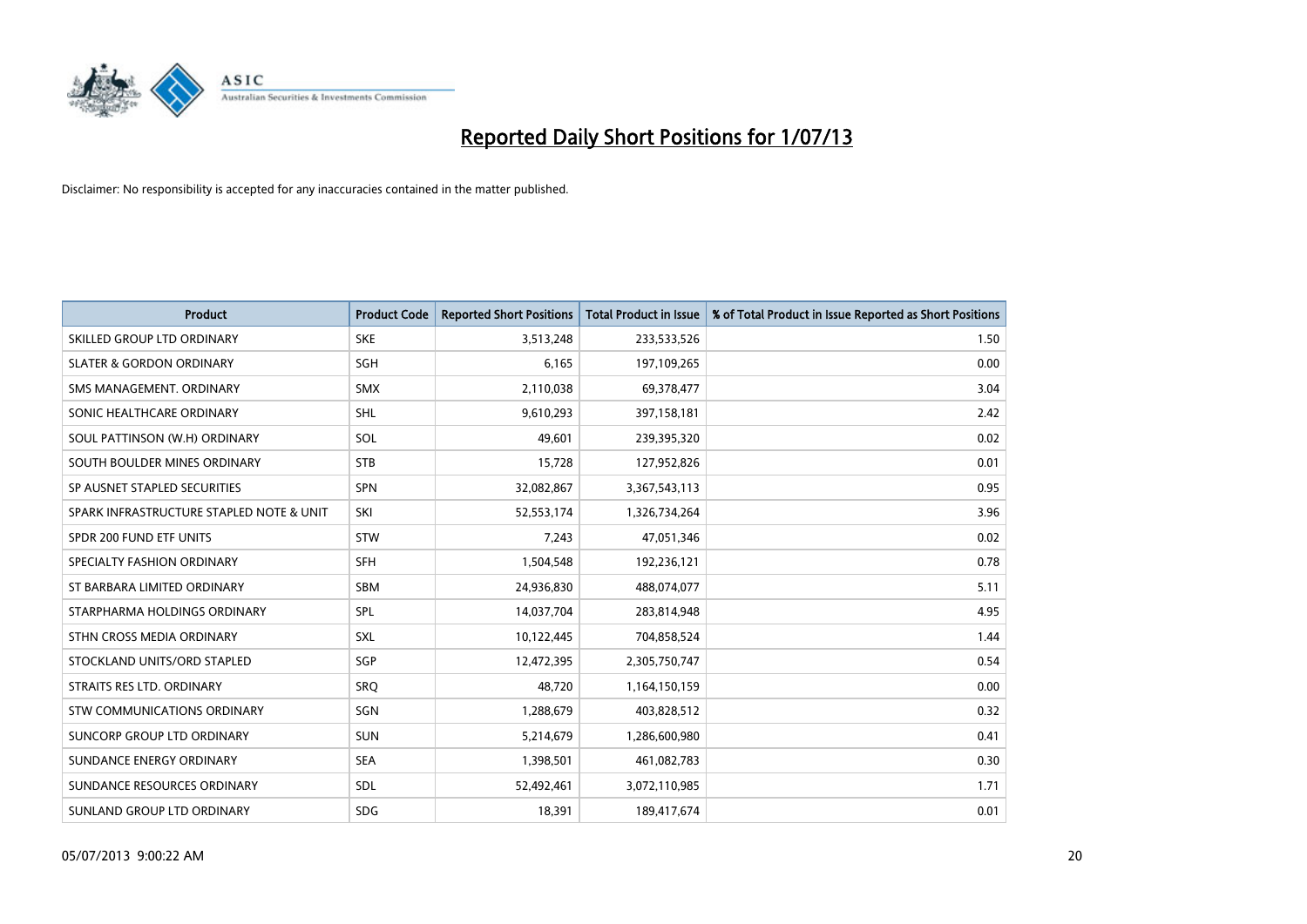

| <b>Product</b>                           | <b>Product Code</b> | <b>Reported Short Positions</b> | <b>Total Product in Issue</b> | % of Total Product in Issue Reported as Short Positions |
|------------------------------------------|---------------------|---------------------------------|-------------------------------|---------------------------------------------------------|
| SKILLED GROUP LTD ORDINARY               | <b>SKE</b>          | 3,513,248                       | 233,533,526                   | 1.50                                                    |
| <b>SLATER &amp; GORDON ORDINARY</b>      | <b>SGH</b>          | 6,165                           | 197,109,265                   | 0.00                                                    |
| SMS MANAGEMENT. ORDINARY                 | SMX                 | 2,110,038                       | 69,378,477                    | 3.04                                                    |
| SONIC HEALTHCARE ORDINARY                | SHL                 | 9,610,293                       | 397,158,181                   | 2.42                                                    |
| SOUL PATTINSON (W.H) ORDINARY            | SOL                 | 49,601                          | 239,395,320                   | 0.02                                                    |
| SOUTH BOULDER MINES ORDINARY             | <b>STB</b>          | 15,728                          | 127,952,826                   | 0.01                                                    |
| SP AUSNET STAPLED SECURITIES             | SPN                 | 32,082,867                      | 3,367,543,113                 | 0.95                                                    |
| SPARK INFRASTRUCTURE STAPLED NOTE & UNIT | SKI                 | 52,553,174                      | 1,326,734,264                 | 3.96                                                    |
| SPDR 200 FUND ETF UNITS                  | <b>STW</b>          | 7,243                           | 47,051,346                    | 0.02                                                    |
| SPECIALTY FASHION ORDINARY               | SFH                 | 1,504,548                       | 192,236,121                   | 0.78                                                    |
| ST BARBARA LIMITED ORDINARY              | <b>SBM</b>          | 24,936,830                      | 488,074,077                   | 5.11                                                    |
| STARPHARMA HOLDINGS ORDINARY             | SPL                 | 14,037,704                      | 283,814,948                   | 4.95                                                    |
| STHN CROSS MEDIA ORDINARY                | <b>SXL</b>          | 10,122,445                      | 704,858,524                   | 1.44                                                    |
| STOCKLAND UNITS/ORD STAPLED              | SGP                 | 12,472,395                      | 2,305,750,747                 | 0.54                                                    |
| STRAITS RES LTD. ORDINARY                | SRQ                 | 48,720                          | 1,164,150,159                 | 0.00                                                    |
| STW COMMUNICATIONS ORDINARY              | SGN                 | 1,288,679                       | 403,828,512                   | 0.32                                                    |
| SUNCORP GROUP LTD ORDINARY               | <b>SUN</b>          | 5,214,679                       | 1,286,600,980                 | 0.41                                                    |
| SUNDANCE ENERGY ORDINARY                 | <b>SEA</b>          | 1,398,501                       | 461,082,783                   | 0.30                                                    |
| SUNDANCE RESOURCES ORDINARY              | <b>SDL</b>          | 52,492,461                      | 3,072,110,985                 | 1.71                                                    |
| SUNLAND GROUP LTD ORDINARY               | <b>SDG</b>          | 18,391                          | 189,417,674                   | 0.01                                                    |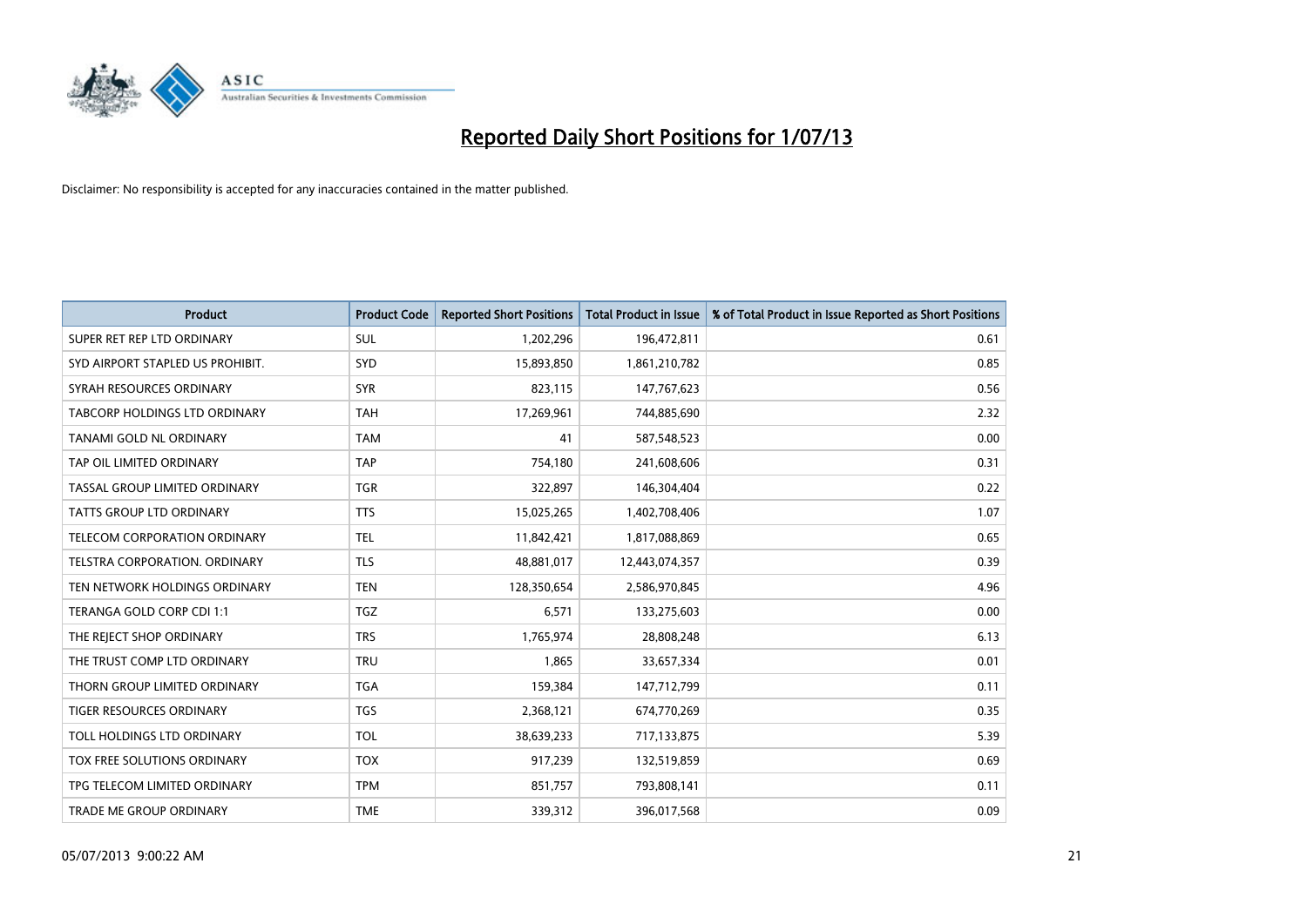

| <b>Product</b>                   | <b>Product Code</b> | <b>Reported Short Positions</b> | <b>Total Product in Issue</b> | % of Total Product in Issue Reported as Short Positions |
|----------------------------------|---------------------|---------------------------------|-------------------------------|---------------------------------------------------------|
| SUPER RET REP LTD ORDINARY       | <b>SUL</b>          | 1,202,296                       | 196,472,811                   | 0.61                                                    |
| SYD AIRPORT STAPLED US PROHIBIT. | <b>SYD</b>          | 15,893,850                      | 1,861,210,782                 | 0.85                                                    |
| SYRAH RESOURCES ORDINARY         | <b>SYR</b>          | 823,115                         | 147,767,623                   | 0.56                                                    |
| TABCORP HOLDINGS LTD ORDINARY    | <b>TAH</b>          | 17,269,961                      | 744,885,690                   | 2.32                                                    |
| TANAMI GOLD NL ORDINARY          | <b>TAM</b>          | 41                              | 587,548,523                   | 0.00                                                    |
| TAP OIL LIMITED ORDINARY         | <b>TAP</b>          | 754,180                         | 241,608,606                   | 0.31                                                    |
| TASSAL GROUP LIMITED ORDINARY    | <b>TGR</b>          | 322,897                         | 146,304,404                   | 0.22                                                    |
| TATTS GROUP LTD ORDINARY         | <b>TTS</b>          | 15,025,265                      | 1,402,708,406                 | 1.07                                                    |
| TELECOM CORPORATION ORDINARY     | <b>TEL</b>          | 11,842,421                      | 1,817,088,869                 | 0.65                                                    |
| TELSTRA CORPORATION, ORDINARY    | <b>TLS</b>          | 48,881,017                      | 12,443,074,357                | 0.39                                                    |
| TEN NETWORK HOLDINGS ORDINARY    | <b>TEN</b>          | 128,350,654                     | 2,586,970,845                 | 4.96                                                    |
| TERANGA GOLD CORP CDI 1:1        | <b>TGZ</b>          | 6,571                           | 133,275,603                   | 0.00                                                    |
| THE REJECT SHOP ORDINARY         | <b>TRS</b>          | 1,765,974                       | 28,808,248                    | 6.13                                                    |
| THE TRUST COMP LTD ORDINARY      | <b>TRU</b>          | 1,865                           | 33,657,334                    | 0.01                                                    |
| THORN GROUP LIMITED ORDINARY     | <b>TGA</b>          | 159,384                         | 147,712,799                   | 0.11                                                    |
| <b>TIGER RESOURCES ORDINARY</b>  | TGS                 | 2,368,121                       | 674,770,269                   | 0.35                                                    |
| TOLL HOLDINGS LTD ORDINARY       | <b>TOL</b>          | 38,639,233                      | 717,133,875                   | 5.39                                                    |
| TOX FREE SOLUTIONS ORDINARY      | <b>TOX</b>          | 917,239                         | 132,519,859                   | 0.69                                                    |
| TPG TELECOM LIMITED ORDINARY     | <b>TPM</b>          | 851,757                         | 793,808,141                   | 0.11                                                    |
| TRADE ME GROUP ORDINARY          | <b>TME</b>          | 339,312                         | 396,017,568                   | 0.09                                                    |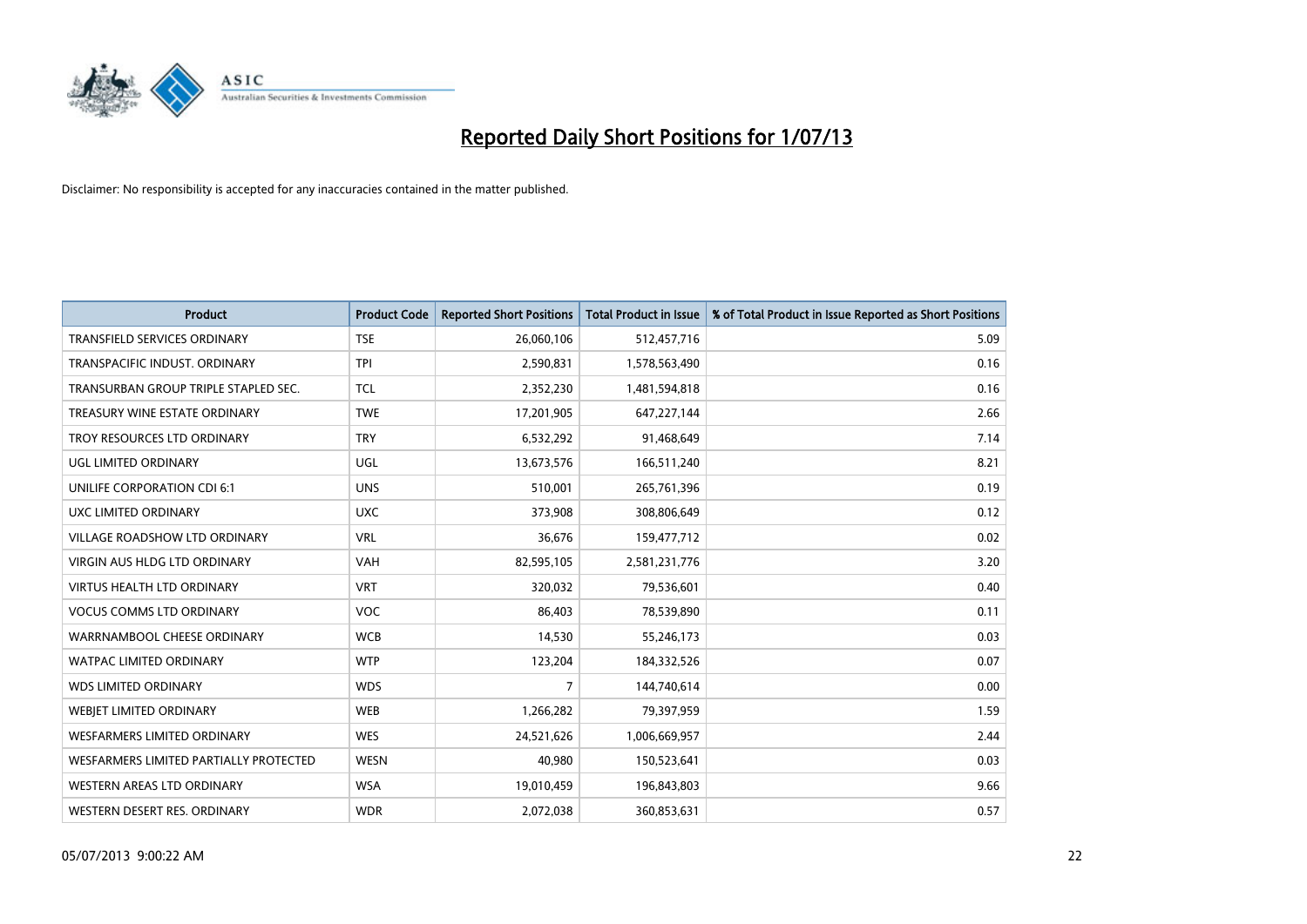

| <b>Product</b>                         | <b>Product Code</b> | <b>Reported Short Positions</b> | <b>Total Product in Issue</b> | % of Total Product in Issue Reported as Short Positions |
|----------------------------------------|---------------------|---------------------------------|-------------------------------|---------------------------------------------------------|
| <b>TRANSFIELD SERVICES ORDINARY</b>    | <b>TSE</b>          | 26,060,106                      | 512,457,716                   | 5.09                                                    |
| TRANSPACIFIC INDUST. ORDINARY          | <b>TPI</b>          | 2,590,831                       | 1,578,563,490                 | 0.16                                                    |
| TRANSURBAN GROUP TRIPLE STAPLED SEC.   | TCL                 | 2,352,230                       | 1,481,594,818                 | 0.16                                                    |
| TREASURY WINE ESTATE ORDINARY          | <b>TWE</b>          | 17,201,905                      | 647,227,144                   | 2.66                                                    |
| TROY RESOURCES LTD ORDINARY            | <b>TRY</b>          | 6,532,292                       | 91,468,649                    | 7.14                                                    |
| <b>UGL LIMITED ORDINARY</b>            | UGL                 | 13,673,576                      | 166,511,240                   | 8.21                                                    |
| UNILIFE CORPORATION CDI 6:1            | <b>UNS</b>          | 510,001                         | 265,761,396                   | 0.19                                                    |
| UXC LIMITED ORDINARY                   | <b>UXC</b>          | 373,908                         | 308,806,649                   | 0.12                                                    |
| <b>VILLAGE ROADSHOW LTD ORDINARY</b>   | <b>VRL</b>          | 36,676                          | 159,477,712                   | 0.02                                                    |
| VIRGIN AUS HLDG LTD ORDINARY           | <b>VAH</b>          | 82,595,105                      | 2,581,231,776                 | 3.20                                                    |
| VIRTUS HEALTH LTD ORDINARY             | <b>VRT</b>          | 320,032                         | 79,536,601                    | 0.40                                                    |
| <b>VOCUS COMMS LTD ORDINARY</b>        | VOC                 | 86,403                          | 78,539,890                    | 0.11                                                    |
| WARRNAMBOOL CHEESE ORDINARY            | <b>WCB</b>          | 14,530                          | 55,246,173                    | 0.03                                                    |
| <b>WATPAC LIMITED ORDINARY</b>         | <b>WTP</b>          | 123,204                         | 184,332,526                   | 0.07                                                    |
| <b>WDS LIMITED ORDINARY</b>            | <b>WDS</b>          | $\overline{7}$                  | 144,740,614                   | 0.00                                                    |
| <b>WEBJET LIMITED ORDINARY</b>         | <b>WEB</b>          | 1,266,282                       | 79,397,959                    | 1.59                                                    |
| <b>WESFARMERS LIMITED ORDINARY</b>     | <b>WES</b>          | 24,521,626                      | 1,006,669,957                 | 2.44                                                    |
| WESFARMERS LIMITED PARTIALLY PROTECTED | <b>WESN</b>         | 40,980                          | 150,523,641                   | 0.03                                                    |
| WESTERN AREAS LTD ORDINARY             | <b>WSA</b>          | 19,010,459                      | 196,843,803                   | 9.66                                                    |
| WESTERN DESERT RES. ORDINARY           | <b>WDR</b>          | 2,072,038                       | 360,853,631                   | 0.57                                                    |